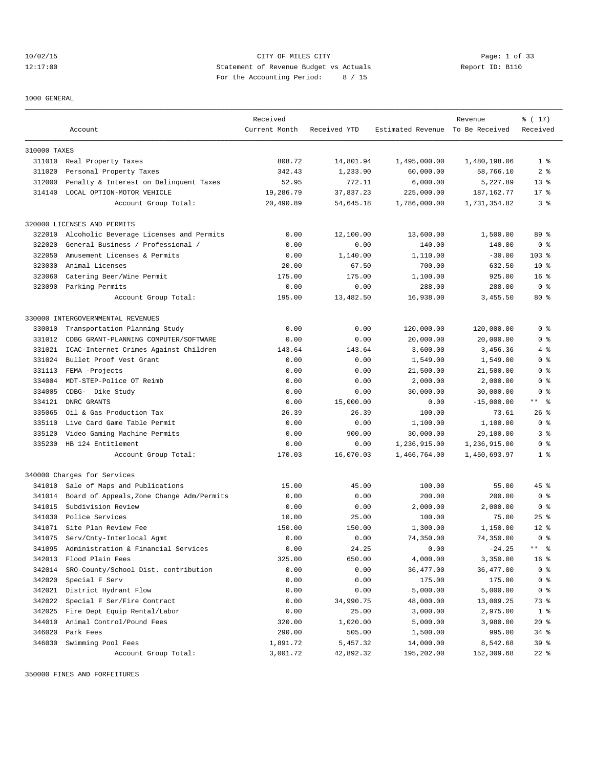10/02/15 CITY OF MILES CITY Page: 1 of 33 12:17:00 Statement of Revenue Budget vs Actuals Report ID: B110 For the Accounting Period: 8 / 15

1000 GENERAL

|              |                                           | Received      |              |                                  | Revenue      | % (17)               |
|--------------|-------------------------------------------|---------------|--------------|----------------------------------|--------------|----------------------|
|              | Account                                   | Current Month | Received YTD | Estimated Revenue To Be Received |              | Received             |
| 310000 TAXES |                                           |               |              |                                  |              |                      |
|              | 311010 Real Property Taxes                | 808.72        | 14,801.94    | 1,495,000.00                     | 1,480,198.06 | 1 <sup>8</sup>       |
| 311020       | Personal Property Taxes                   | 342.43        | 1,233.90     | 60,000.00                        | 58,766.10    | 2 <sub>8</sub>       |
| 312000       | Penalty & Interest on Delinquent Taxes    | 52.95         | 772.11       | 6,000.00                         | 5,227.89     | $13*$                |
|              | 314140 LOCAL OPTION-MOTOR VEHICLE         | 19,286.79     | 37,837.23    | 225,000.00                       | 187, 162. 77 | $17*$                |
|              | Account Group Total:                      | 20,490.89     | 54,645.18    | 1,786,000.00                     | 1,731,354.82 | 3 <sup>8</sup>       |
|              | 320000 LICENSES AND PERMITS               |               |              |                                  |              |                      |
| 322010       | Alcoholic Beverage Licenses and Permits   | 0.00          | 12,100.00    | 13,600.00                        | 1,500.00     | 89 %                 |
| 322020       | General Business / Professional /         | 0.00          | 0.00         | 140.00                           | 140.00       | 0 <sup>8</sup>       |
| 322050       | Amusement Licenses & Permits              | 0.00          | 1,140.00     | 1,110.00                         | $-30.00$     | $103$ %              |
| 323030       | Animal Licenses                           | 20.00         | 67.50        | 700.00                           | 632.50       | $10*$                |
| 323060       | Catering Beer/Wine Permit                 | 175.00        | 175.00       | 1,100.00                         | 925.00       | 16 <sup>8</sup>      |
|              | 323090 Parking Permits                    | 0.00          | 0.00         | 288.00                           | 288.00       | 0 <sup>8</sup>       |
|              | Account Group Total:                      | 195.00        | 13,482.50    | 16,938.00                        | 3,455.50     | $80*$                |
|              | 330000 INTERGOVERNMENTAL REVENUES         |               |              |                                  |              |                      |
| 330010       | Transportation Planning Study             | 0.00          | 0.00         | 120,000.00                       | 120,000.00   | 0 <sup>8</sup>       |
| 331012       | CDBG GRANT-PLANNING COMPUTER/SOFTWARE     | 0.00          | 0.00         | 20,000.00                        | 20,000.00    | 0 <sup>8</sup>       |
| 331021       | ICAC-Internet Crimes Against Children     | 143.64        | 143.64       | 3,600.00                         | 3,456.36     | 4%                   |
| 331024       | Bullet Proof Vest Grant                   | 0.00          | 0.00         | 1,549.00                         | 1,549.00     | 0 <sup>8</sup>       |
| 331113       | FEMA -Projects                            | 0.00          | 0.00         | 21,500.00                        | 21,500.00    | 0 <sup>8</sup>       |
| 334004       | MDT-STEP-Police OT Reimb                  | 0.00          | 0.00         | 2,000.00                         | 2,000.00     | 0 <sup>8</sup>       |
| 334005       | CDBG- Dike Study                          | 0.00          | 0.00         | 30,000.00                        | 30,000.00    | 0 <sup>8</sup>       |
|              | 334121 DNRC GRANTS                        | 0.00          | 15,000.00    | 0.00                             | $-15,000.00$ | $***$ $  -$          |
| 335065       | Oil & Gas Production Tax                  | 26.39         | 26.39        | 100.00                           | 73.61        | $26$ %               |
| 335110       | Live Card Game Table Permit               | 0.00          | 0.00         | 1,100.00                         | 1,100.00     | 0 <sup>8</sup>       |
| 335120       | Video Gaming Machine Permits              | 0.00          | 900.00       | 30,000.00                        | 29,100.00    | 3 <sup>8</sup>       |
| 335230       | HB 124 Entitlement                        | 0.00          | 0.00         | 1,236,915.00                     | 1,236,915.00 | 0 <sup>8</sup>       |
|              | Account Group Total:                      | 170.03        | 16,070.03    | 1,466,764.00                     | 1,450,693.97 | 1 <sup>8</sup>       |
|              | 340000 Charges for Services               |               |              |                                  |              |                      |
| 341010       | Sale of Maps and Publications             | 15.00         | 45.00        | 100.00                           | 55.00        | 45%                  |
| 341014       | Board of Appeals, Zone Change Adm/Permits | 0.00          | 0.00         | 200.00                           | 200.00       | 0 <sup>8</sup>       |
| 341015       | Subdivision Review                        | 0.00          | 0.00         | 2,000.00                         | 2,000.00     | 0 <sup>8</sup>       |
| 341030       | Police Services                           | 10.00         | 25.00        | 100.00                           | 75.00        | $25$ $\frac{6}{5}$   |
|              | 341071 Site Plan Review Fee               | 150.00        | 150.00       | 1,300.00                         | 1,150.00     | $12*$                |
| 341075       | Serv/Cnty-Interlocal Agmt                 | 0.00          | 0.00         | 74,350.00                        | 74,350.00    | 0 <sup>8</sup>       |
| 341095       | Administration & Financial Services       | 0.00          | 24.25        | 0.00                             | $-24.25$     | $***$ $ \frac{6}{9}$ |
| 342013       | Flood Plain Fees                          | 325.00        | 650.00       | 4,000.00                         | 3,350.00     | 16 <sup>8</sup>      |
| 342014       | SRO-County/School Dist. contribution      | 0.00          | 0.00         | 36, 477.00                       | 36,477.00    | 0 <sup>8</sup>       |
| 342020       | Special F Serv                            | 0.00          | 0.00         | 175.00                           | 175.00       | 0 <sup>8</sup>       |
| 342021       | District Hydrant Flow                     | 0.00          | 0.00         | 5,000.00                         | 5,000.00     | 0 <sup>8</sup>       |
| 342022       | Special F Ser/Fire Contract               | 0.00          | 34,990.75    | 48,000.00                        | 13,009.25    | 73 %                 |
| 342025       | Fire Dept Equip Rental/Labor              | 0.00          | 25.00        | 3,000.00                         | 2,975.00     | 1 <sup>8</sup>       |
| 344010       | Animal Control/Pound Fees                 | 320.00        | 1,020.00     | 5,000.00                         | 3,980.00     | $20*$                |
| 346020       | Park Fees                                 | 290.00        | 505.00       | 1,500.00                         | 995.00       | $34$ $%$             |
| 346030       | Swimming Pool Fees                        | 1,891.72      | 5,457.32     | 14,000.00                        | 8,542.68     | 39 %                 |
|              | Account Group Total:                      | 3,001.72      | 42,892.32    | 195,202.00                       | 152,309.68   | $22$ %               |

350000 FINES AND FORFEITURES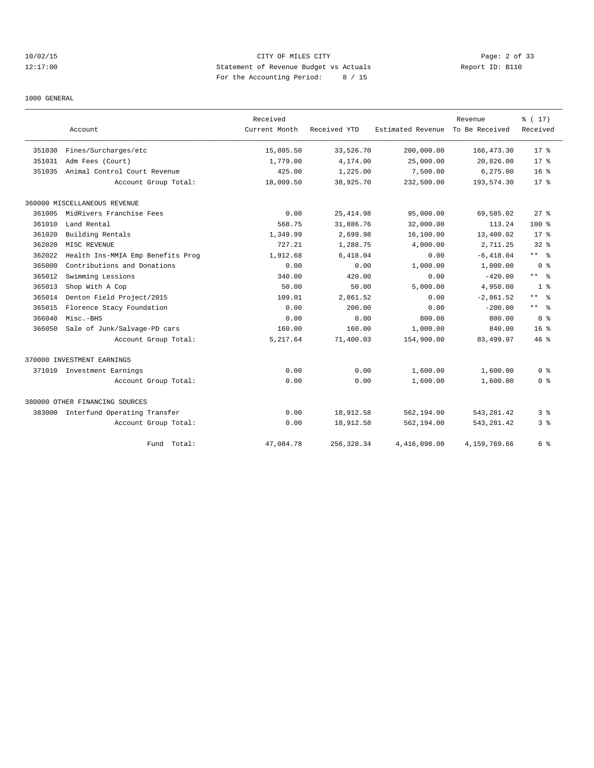# 10/02/15 CITY OF MILES CITY Page: 2 of 33 12:17:00 Statement of Revenue Budget vs Actuals Report ID: B110 For the Accounting Period: 8 / 15

1000 GENERAL

|        |                                     | Received      |              |                   | Revenue        | % (17)          |
|--------|-------------------------------------|---------------|--------------|-------------------|----------------|-----------------|
|        | Account                             | Current Month | Received YTD | Estimated Revenue | To Be Received | Received        |
| 351030 | Fines/Surcharges/etc                | 15,805.50     | 33,526.70    | 200,000.00        | 166, 473.30    | $17*$           |
| 351031 | Adm Fees (Court)                    | 1,779.00      | 4,174.00     | 25,000.00         | 20,826.00      | $17*$           |
| 351035 | Animal Control Court Revenue        | 425.00        | 1,225.00     | 7,500.00          | 6, 275.00      | 16 <sup>°</sup> |
|        | Account Group Total:                | 18,009.50     | 38,925.70    | 232,500.00        | 193,574.30     | $17*$           |
|        | 360000 MISCELLANEOUS REVENUE        |               |              |                   |                |                 |
| 361005 | MidRivers Franchise Fees            | 0.00          | 25, 414.98   | 95,000.00         | 69,585.02      | $27$ $%$        |
| 361010 | Land Rental                         | 568.75        | 31,886.76    | 32,000.00         | 113.24         | 100 %           |
| 361020 | Building Rentals                    | 1,349.99      | 2,699.98     | 16,100.00         | 13,400.02      | $17*$           |
| 362020 | MISC REVENUE                        | 727.21        | 1,288.75     | 4,000.00          | 2,711.25       | 32%             |
| 362022 | Health Ins-MMIA Emp Benefits Prog   | 1,912.68      | 6,418.04     | 0.00              | $-6,418.04$    | $***$ $ -$      |
| 365000 | Contributions and Donations         | 0.00          | 0.00         | 1,000.00          | 1,000.00       | 0 <sup>8</sup>  |
| 365012 | Swimming Lessions                   | 340.00        | 420.00       | 0.00              | $-420.00$      | $***$ $ -$      |
| 365013 | Shop With A Cop                     | 50.00         | 50.00        | 5,000.00          | 4,950.00       | 1 <sup>8</sup>  |
| 365014 | Denton Field Project/2015           | 109.01        | 2,861.52     | 0.00              | $-2,861.52$    | $***$ $%$       |
| 365015 | Florence Stacy Foundation           | 0.00          | 200.00       | 0.00              | $-200.00$      | $***$ $%$       |
| 366040 | Misc.-BHS                           | 0.00          | 0.00         | 800.00            | 800.00         | 0 <sup>8</sup>  |
| 366050 | Sale of Junk/Salvage-PD cars        | 160.00        | 160.00       | 1,000.00          | 840.00         | 16 <sup>8</sup> |
|        | Account Group Total:                | 5,217.64      | 71,400.03    | 154,900.00        | 83,499.97      | $46*$           |
|        | 370000 INVESTMENT EARNINGS          |               |              |                   |                |                 |
|        | 371010 Investment Earnings          | 0.00          | 0.00         | 1,600.00          | 1,600.00       | 0 <sup>8</sup>  |
|        | Account Group Total:                | 0.00          | 0.00         | 1,600.00          | 1,600.00       | 0 <sup>8</sup>  |
|        | 380000 OTHER FINANCING SOURCES      |               |              |                   |                |                 |
|        | 383000 Interfund Operating Transfer | 0.00          | 18,912.58    | 562,194.00        | 543,281.42     | 3 %             |
|        | Account Group Total:                | 0.00          | 18,912.58    | 562,194.00        | 543, 281.42    | 3%              |
|        | Total:<br>Fund                      | 47,084.78     | 256, 328.34  | 4,416,098.00      | 4,159,769.66   | 6 %             |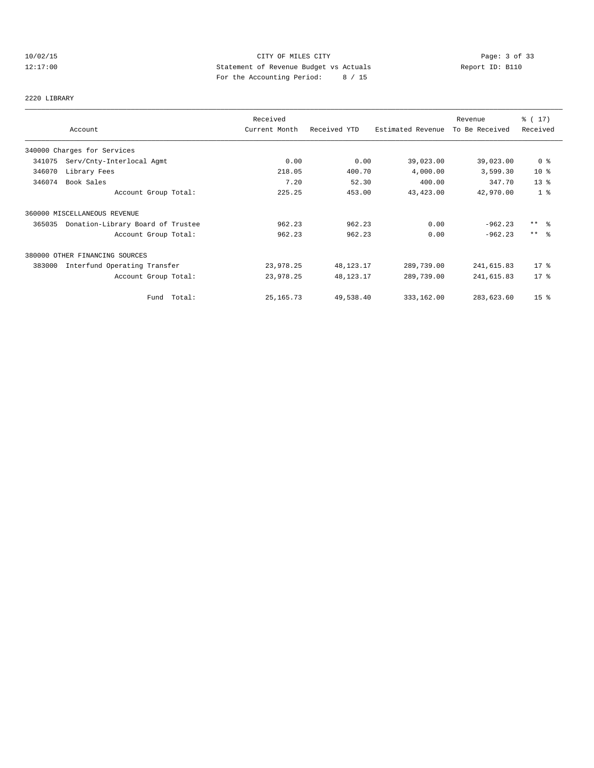# 10/02/15 CITY OF MILES CITY Page: 3 of 33 12:17:00 Statement of Revenue Budget vs Actuals Report ID: B110 For the Accounting Period: 8 / 15

#### 2220 LIBRARY

|        | Account                           | Received<br>Current Month | Received YTD | Estimated Revenue | Revenue<br>To Be Received | $\frac{1}{6}$ (17)<br>Received |
|--------|-----------------------------------|---------------------------|--------------|-------------------|---------------------------|--------------------------------|
|        |                                   |                           |              |                   |                           |                                |
|        | 340000 Charges for Services       |                           |              |                   |                           |                                |
| 341075 | Serv/Cnty-Interlocal Agmt         | 0.00                      | 0.00         | 39,023.00         | 39,023.00                 | 0 <sup>8</sup>                 |
| 346070 | Library Fees                      | 218.05                    | 400.70       | 4,000.00          | 3,599.30                  | $10*$                          |
| 346074 | Book Sales                        | 7.20                      | 52.30        | 400.00            | 347.70                    | 13 <sup>°</sup>                |
|        | Account Group Total:              | 225.25                    | 453.00       | 43,423.00         | 42,970.00                 | 1 <sup>8</sup>                 |
|        | 360000 MISCELLANEOUS REVENUE      |                           |              |                   |                           |                                |
| 365035 | Donation-Library Board of Trustee | 962.23                    | 962.23       | 0.00              | $-962.23$                 | $***$ $\frac{6}{6}$            |
|        | Account Group Total:              | 962.23                    | 962.23       | 0.00              | $-962.23$                 | $***$ $ -$                     |
|        | 380000 OTHER FINANCING SOURCES    |                           |              |                   |                           |                                |
| 383000 | Interfund Operating Transfer      | 23,978.25                 | 48, 123. 17  | 289,739.00        | 241,615.83                | $17*$                          |
|        | Account Group Total:              | 23,978.25                 | 48,123.17    | 289,739.00        | 241,615.83                | $17*$                          |
|        | Fund Total:                       | 25, 165. 73               | 49,538.40    | 333,162.00        | 283,623.60                | 15 <sup>°</sup>                |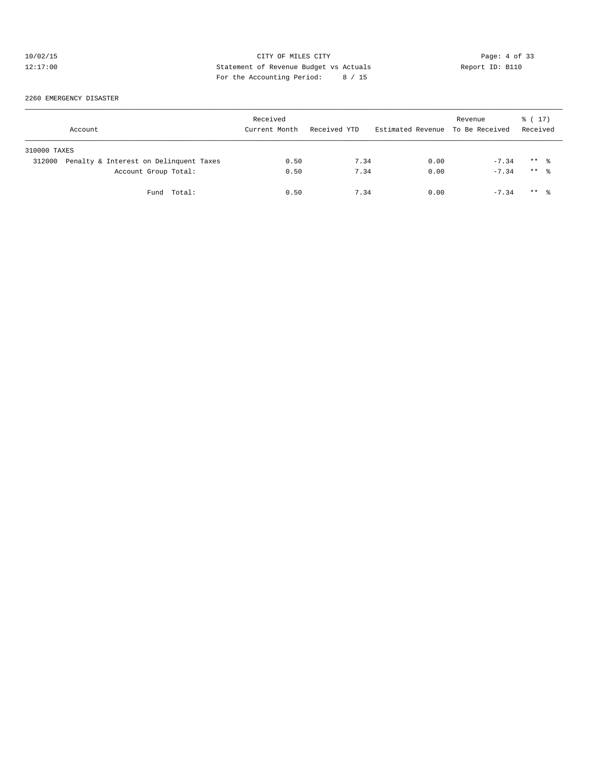# 10/02/15 CITY OF MILES CITY Page: 4 of 33<br>12:17:00 Statement of Revenue Budget vs Actuals Report ID: B110<br>For the Accumulate Deviced: 2016. 12:17:00 Statement of Revenue Budget vs Actuals Report ID: B110 For the Accounting Period: 8 / 15

#### 2260 EMERGENCY DISASTER

| Account                                          | Received<br>Current Month | Received YTD | Estimated Revenue To Be Received | Revenue | % (17)<br>Received  |
|--------------------------------------------------|---------------------------|--------------|----------------------------------|---------|---------------------|
| 310000 TAXES                                     |                           |              |                                  |         |                     |
| Penalty & Interest on Delinquent Taxes<br>312000 | 0.50                      | 7.34         | 0.00                             | $-7.34$ | $***$ %             |
| Account Group Total:                             | 0.50                      | 7.34         | 0.00                             | $-7.34$ | $***$ %             |
| Fund Total:                                      | 0.50                      | 7.34         | 0.00                             | $-7.34$ | $***$ $\frac{6}{3}$ |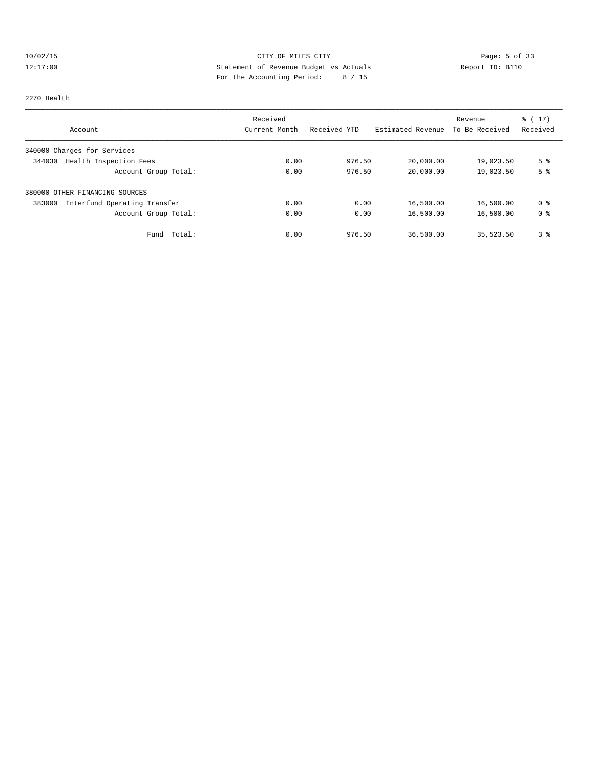# 10/02/15 CITY OF MILES CITY Page: 5 of 33 12:17:00 Statement of Revenue Budget vs Actuals Report ID: B110 For the Accounting Period: 8 / 15

#### 2270 Health

|                                        | Received      |              |                   | Revenue        | $\frac{1}{6}$ (17) |
|----------------------------------------|---------------|--------------|-------------------|----------------|--------------------|
| Account                                | Current Month | Received YTD | Estimated Revenue | To Be Received | Received           |
| 340000 Charges for Services            |               |              |                   |                |                    |
| Health Inspection Fees<br>344030       | 0.00          | 976.50       | 20,000.00         | 19,023.50      | 5 <sup>8</sup>     |
| Account Group Total:                   | 0.00          | 976.50       | 20,000.00         | 19,023.50      | 5 <sup>°</sup>     |
| 380000 OTHER FINANCING SOURCES         |               |              |                   |                |                    |
| 383000<br>Interfund Operating Transfer | 0.00          | 0.00         | 16,500.00         | 16,500.00      | 0 %                |
| Account Group Total:                   | 0.00          | 0.00         | 16,500.00         | 16,500.00      | 0 <sup>8</sup>     |
| Total:<br>Fund                         | 0.00          | 976.50       | 36,500.00         | 35,523.50      | 3%                 |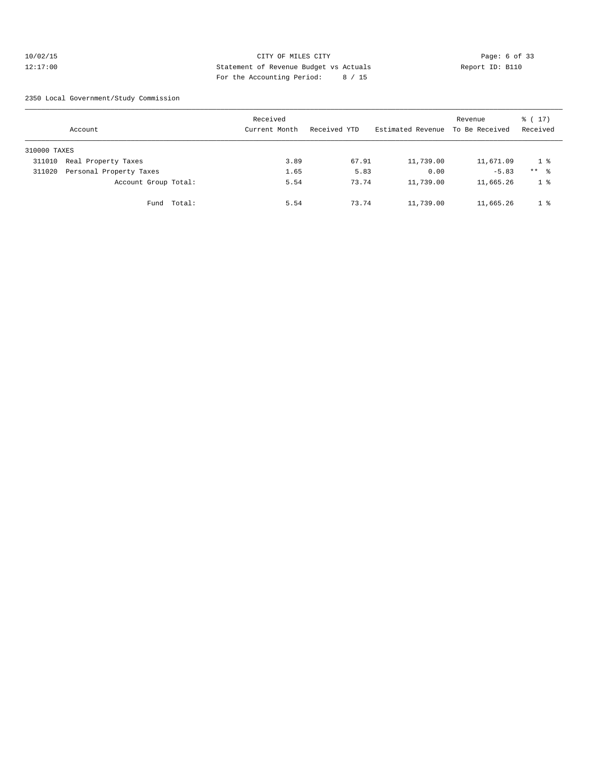#### 10/02/15 CITY OF MILES CITY Page: 6 of 33 12:17:00 Statement of Revenue Budget vs Actuals Report ID: B110 For the Accounting Period: 8 / 15

2350 Local Government/Study Commission

|              | Account                 |             | Received<br>Current Month | Received YTD | Estimated Revenue | Revenue<br>To Be Received | $\frac{1}{6}$ ( 17 )<br>Received |
|--------------|-------------------------|-------------|---------------------------|--------------|-------------------|---------------------------|----------------------------------|
| 310000 TAXES |                         |             |                           |              |                   |                           |                                  |
| 311010       | Real Property Taxes     |             | 3.89                      | 67.91        | 11,739.00         | 11,671.09                 | 1 %                              |
| 311020       | Personal Property Taxes |             | 1.65                      | 5.83         | 0.00              | $-5.83$                   | $***$ %                          |
|              | Account Group Total:    |             | 5.54                      | 73.74        | 11,739.00         | 11,665.26                 | 1 <sup>°</sup>                   |
|              |                         | Fund Total: | 5.54                      | 73.74        | 11,739.00         | 11,665.26                 | 1 <sup>8</sup>                   |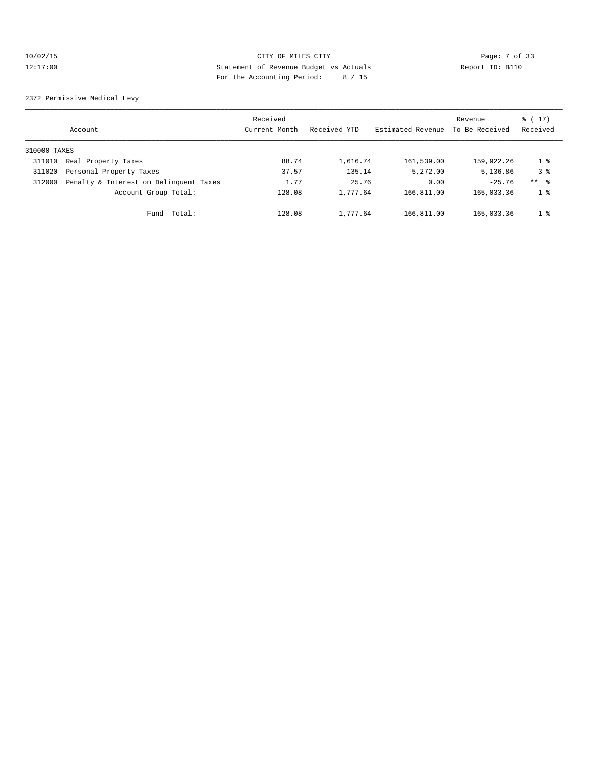# 10/02/15 CITY OF MILES CITY Page: 7 of 33 12:17:00 Statement of Revenue Budget vs Actuals Report ID: B110 For the Accounting Period: 8 / 15

2372 Permissive Medical Levy

|              | Account                                | Received<br>Current Month | Received YTD | Estimated Revenue | Revenue<br>To Be Received | % (17)<br>Received |
|--------------|----------------------------------------|---------------------------|--------------|-------------------|---------------------------|--------------------|
| 310000 TAXES |                                        |                           |              |                   |                           |                    |
| 311010       | Real Property Taxes                    | 88.74                     | 1,616.74     | 161,539.00        | 159,922.26                | 1 %                |
| 311020       | Personal Property Taxes                | 37.57                     | 135.14       | 5,272.00          | 5,136.86                  | 3 <sup>8</sup>     |
| 312000       | Penalty & Interest on Delinquent Taxes | 1.77                      | 25.76        | 0.00              | $-25.76$                  | $***$ $\approx$    |
|              | Account Group Total:                   | 128.08                    | 1,777.64     | 166,811.00        | 165,033.36                | 1 <sup>8</sup>     |
|              | Total:<br>Fund                         | 128.08                    | 1,777.64     | 166,811.00        | 165,033.36                | 1 <sup>8</sup>     |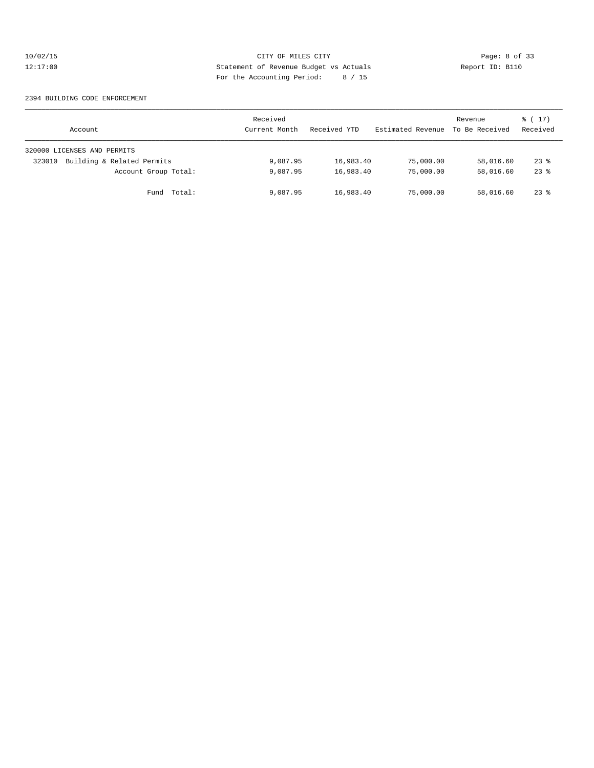# 10/02/15 CITY OF MILES CITY Page: 8 of 33<br>12:17:00 Statement of Revenue Budget vs Actuals Report ID: B110<br>For the Accumulate Deviced: 2016. 12:17:00 Statement of Revenue Budget vs Actuals Report ID: B110 For the Accounting Period: 8 / 15

#### 2394 BUILDING CODE ENFORCEMENT

| Account                              | Received<br>Current Month | Received YTD | Estimated Revenue | Revenue<br>To Be Received | $\frac{1}{6}$ (17)<br>Received |
|--------------------------------------|---------------------------|--------------|-------------------|---------------------------|--------------------------------|
| 320000 LICENSES AND PERMITS          |                           |              |                   |                           |                                |
| Building & Related Permits<br>323010 | 9,087.95                  | 16,983.40    | 75,000.00         | 58,016.60                 | $23$ %                         |
| Account Group Total:                 | 9,087.95                  | 16,983.40    | 75,000.00         | 58,016.60                 | $23$ $%$                       |
| Total:<br>Fund                       | 9,087.95                  | 16,983.40    | 75,000.00         | 58,016.60                 | $23$ $%$                       |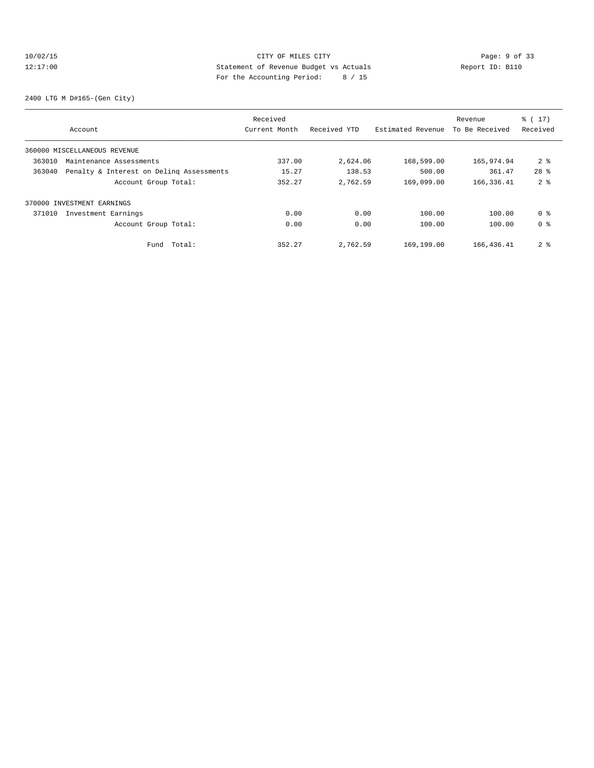# 10/02/15 CITY OF MILES CITY Page: 9 of 33 12:17:00 Statement of Revenue Budget vs Actuals Report ID: B110 For the Accounting Period: 8 / 15

2400 LTG M D#165-(Gen City)

|        |                                          | Received      |              |                   | Revenue        | % (17)         |
|--------|------------------------------------------|---------------|--------------|-------------------|----------------|----------------|
|        | Account                                  | Current Month | Received YTD | Estimated Revenue | To Be Received | Received       |
|        | 360000 MISCELLANEOUS REVENUE             |               |              |                   |                |                |
| 363010 | Maintenance Assessments                  | 337.00        | 2,624.06     | 168,599.00        | 165,974.94     | 2 <sup>8</sup> |
| 363040 | Penalty & Interest on Deling Assessments | 15.27         | 138.53       | 500.00            | 361.47         | $28*$          |
|        | Account Group Total:                     | 352.27        | 2,762.59     | 169,099.00        | 166, 336.41    | 2 <sup>8</sup> |
|        | 370000 INVESTMENT EARNINGS               |               |              |                   |                |                |
| 371010 | Investment Earnings                      | 0.00          | 0.00         | 100.00            | 100.00         | 0 <sup>8</sup> |
|        | Account Group Total:                     | 0.00          | 0.00         | 100.00            | 100.00         | 0 <sup>8</sup> |
|        | Total:<br>Fund                           | 352.27        | 2,762.59     | 169,199.00        | 166,436.41     | 2 <sub>8</sub> |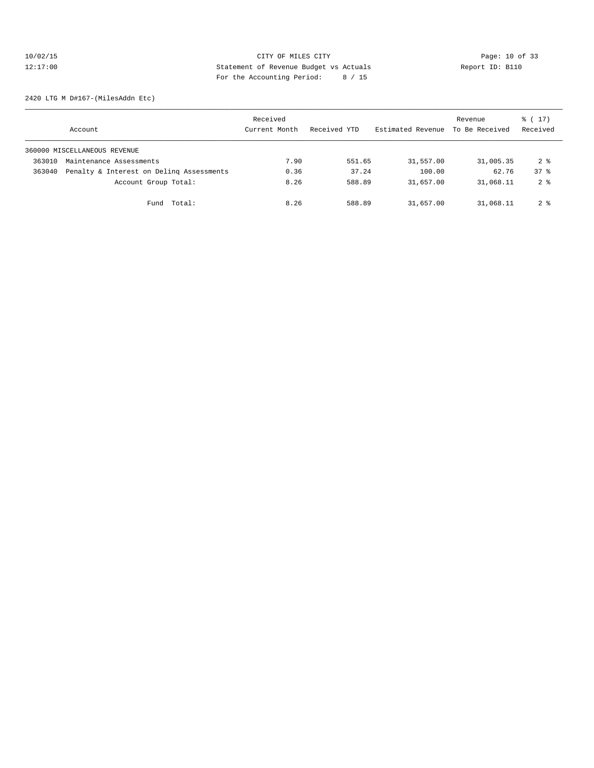# 10/02/15 **Page: 10 of 33** 12:17:00 Statement of Revenue Budget vs Actuals Report ID: B110 For the Accounting Period: 8 / 15

2420 LTG M D#167-(MilesAddn Etc)

|        | Account                                  | Received<br>Current Month | Received YTD | Estimated Revenue | Revenue<br>To Be Received | $\frac{1}{6}$ (17)<br>Received |
|--------|------------------------------------------|---------------------------|--------------|-------------------|---------------------------|--------------------------------|
|        | 360000 MISCELLANEOUS REVENUE             |                           |              |                   |                           |                                |
| 363010 | Maintenance Assessments                  | 7.90                      | 551.65       | 31,557.00         | 31,005.35                 | $2 \text{ }^{\circ}$           |
| 363040 | Penalty & Interest on Deling Assessments | 0.36                      | 37.24        | 100.00            | 62.76                     | 378                            |
|        | Account Group Total:                     | 8.26                      | 588.89       | 31,657.00         | 31,068.11                 | 2 <sub>8</sub>                 |
|        | Total:<br>Fund                           | 8.26                      | 588.89       | 31,657.00         | 31,068.11                 | $2 \text{ }^{\circ}$           |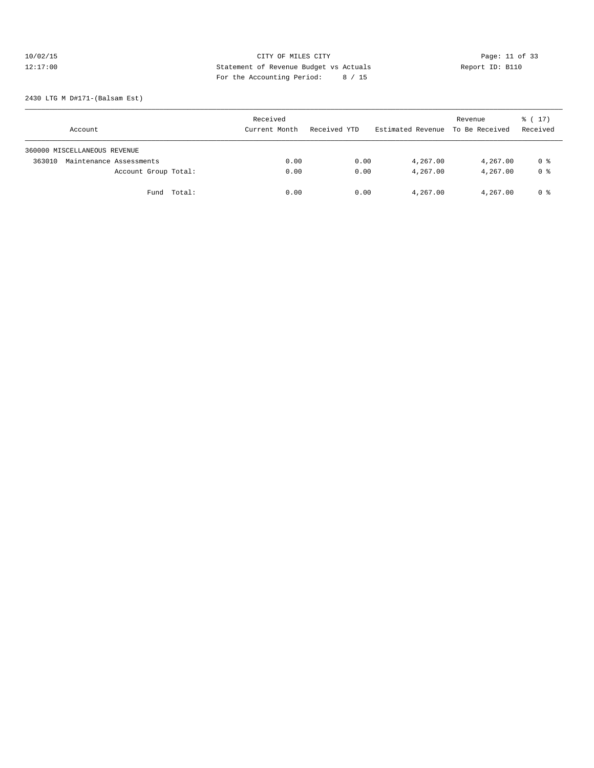# 10/02/15 **Page: 11 of 33** CITY OF MILES CITY **Page: 11 of 33** 12:17:00 Statement of Revenue Budget vs Actuals Report ID: B110<br>Report ID: B110 For the Accounting Period: 8 / 15

2430 LTG M D#171-(Balsam Est)

| Account                           | Received<br>Current Month | Received YTD | Estimated Revenue To Be Received | Revenue  | $\frac{1}{6}$ ( 17 )<br>Received |
|-----------------------------------|---------------------------|--------------|----------------------------------|----------|----------------------------------|
| 360000 MISCELLANEOUS REVENUE      |                           |              |                                  |          |                                  |
| Maintenance Assessments<br>363010 | 0.00                      | 0.00         | 4,267.00                         | 4,267.00 | 0 %                              |
| Account Group Total:              | 0.00                      | 0.00         | 4,267.00                         | 4,267.00 | 0 <sup>8</sup>                   |
| Fund Total:                       | 0.00                      | 0.00         | 4,267.00                         | 4,267.00 | 0 %                              |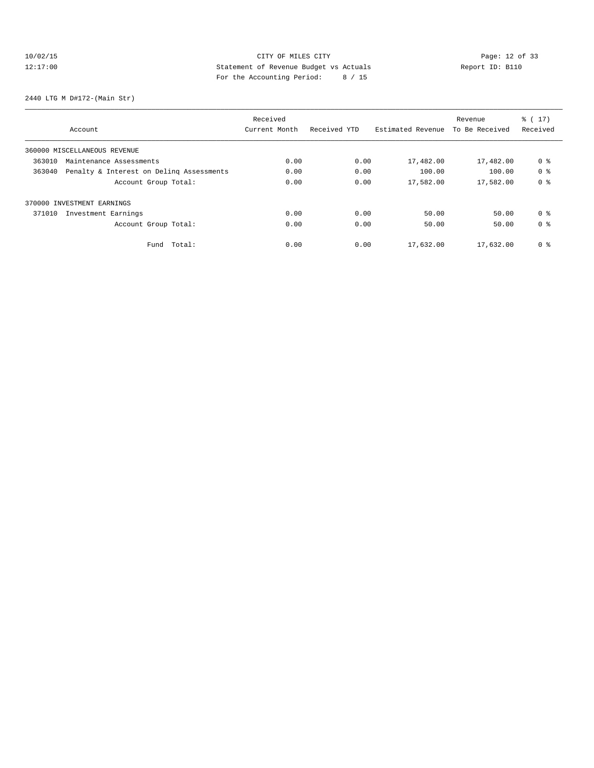# 10/02/15 Page: 12 of 33 12:17:00 Statement of Revenue Budget vs Actuals Report ID: B110 For the Accounting Period: 8 / 15

2440 LTG M D#172-(Main Str)

|                                                    | Received      |              |                   | Revenue        | % (17)         |
|----------------------------------------------------|---------------|--------------|-------------------|----------------|----------------|
| Account                                            | Current Month | Received YTD | Estimated Revenue | To Be Received | Received       |
| 360000 MISCELLANEOUS REVENUE                       |               |              |                   |                |                |
| 363010<br>Maintenance Assessments                  | 0.00          | 0.00         | 17,482.00         | 17,482.00      | 0 %            |
| Penalty & Interest on Deling Assessments<br>363040 | 0.00          | 0.00         | 100.00            | 100.00         | 0 <sup>8</sup> |
| Account Group Total:                               | 0.00          | 0.00         | 17,582.00         | 17,582.00      | 0 <sub>8</sub> |
| 370000 INVESTMENT EARNINGS                         |               |              |                   |                |                |
| 371010<br>Investment Earnings                      | 0.00          | 0.00         | 50.00             | 50.00          | 0 <sup>8</sup> |
| Account Group Total:                               | 0.00          | 0.00         | 50.00             | 50.00          | 0 <sup>8</sup> |
| Total:<br>Fund                                     | 0.00          | 0.00         | 17,632.00         | 17,632.00      | 0 <sub>8</sub> |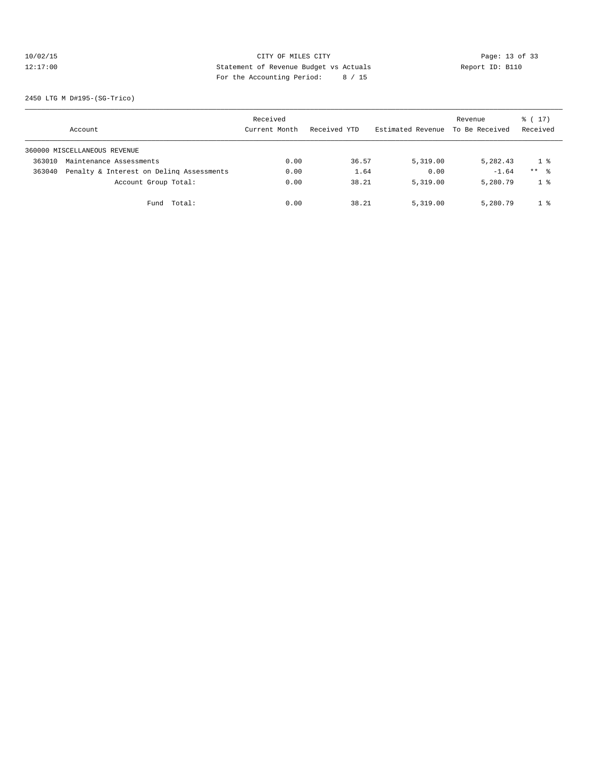# 10/02/15 Page: 13 of 33 12:17:00 Statement of Revenue Budget vs Actuals Report ID: B110 For the Accounting Period: 8 / 15

2450 LTG M D#195-(SG-Trico)

|        | Account                                  | Received<br>Current Month | Received YTD | Estimated Revenue | Revenue<br>To Be Received | $\frac{1}{6}$ (17)<br>Received |
|--------|------------------------------------------|---------------------------|--------------|-------------------|---------------------------|--------------------------------|
|        | 360000 MISCELLANEOUS REVENUE             |                           |              |                   |                           |                                |
| 363010 | Maintenance Assessments                  | 0.00                      | 36.57        | 5,319.00          | 5,282.43                  | 18                             |
| 363040 | Penalty & Interest on Deling Assessments | 0.00                      | 1.64         | 0.00              | $-1.64$                   | $***$ $\frac{6}{5}$            |
|        | Account Group Total:                     | 0.00                      | 38.21        | 5,319.00          | 5,280.79                  | $1 \circ$                      |
|        | Total:<br>Fund                           | 0.00                      | 38.21        | 5,319.00          | 5,280.79                  | $1 \cdot$                      |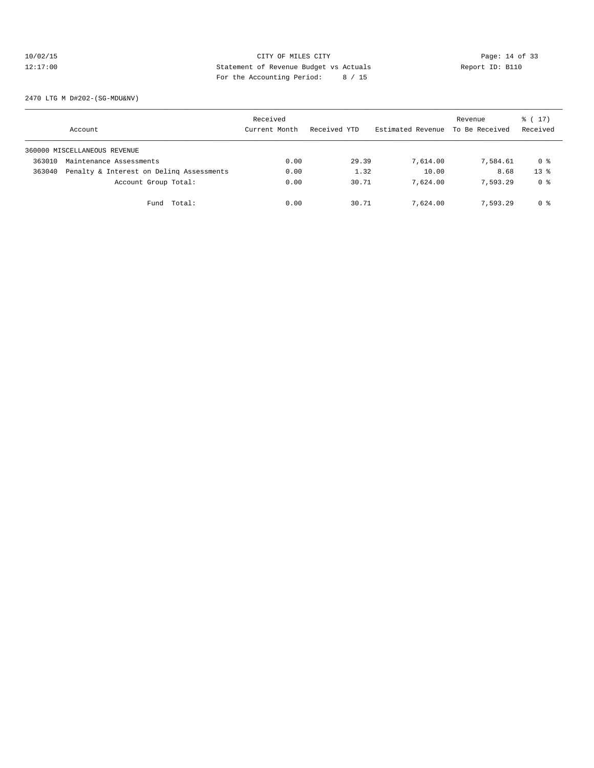# 10/02/15 **Page: 14 of 33** 12:17:00 Statement of Revenue Budget vs Actuals Report ID: B110 For the Accounting Period: 8 / 15

2470 LTG M D#202-(SG-MDU&NV)

|        | Account                                  | Received<br>Current Month | Received YTD | Estimated Revenue | Revenue<br>To Be Received | $\frac{1}{6}$ ( 17 )<br>Received |
|--------|------------------------------------------|---------------------------|--------------|-------------------|---------------------------|----------------------------------|
|        | 360000 MISCELLANEOUS REVENUE             |                           |              |                   |                           |                                  |
| 363010 | Maintenance Assessments                  | 0.00                      | 29.39        | 7,614.00          | 7,584.61                  | 0 %                              |
| 363040 | Penalty & Interest on Deling Assessments | 0.00                      | 1.32         | 10.00             | 8.68                      | $13*$                            |
|        | Account Group Total:                     | 0.00                      | 30.71        | 7,624.00          | 7.593.29                  | 0 %                              |
|        | Total:<br>Fund                           | 0.00                      | 30.71        | 7,624.00          | 7.593.29                  | 0 %                              |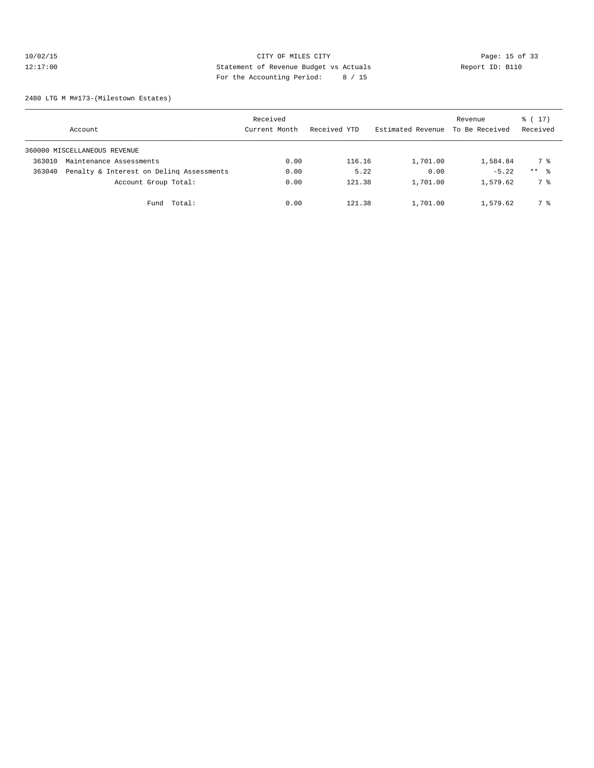# 10/02/15 CITY OF MILES CITY CHE CITY Page: 15 of 33<br>12:17:00 Statement of Revenue Budget vs Actuals Report ID: B110<br>For the Accounting Posite (1966) Computer (1966) Report ID: B110 12:17:00 Statement of Revenue Budget vs Actuals Report ID: B110 For the Accounting Period: 8 / 15

2480 LTG M M#173-(Milestown Estates)

|        | Account                                  | Received<br>Current Month | Received YTD | Estimated Revenue | Revenue<br>To Be Received | $\frac{1}{6}$ (17)<br>Received |
|--------|------------------------------------------|---------------------------|--------------|-------------------|---------------------------|--------------------------------|
|        | 360000 MISCELLANEOUS REVENUE             |                           |              |                   |                           |                                |
| 363010 | Maintenance Assessments                  | 0.00                      | 116.16       | 1,701.00          | 1,584.84                  | 7 %                            |
| 363040 | Penalty & Interest on Deling Assessments | 0.00                      | 5.22         | 0.00              | $-5.22$                   | $***$ %                        |
|        | Account Group Total:                     | 0.00                      | 121.38       | 1,701.00          | 1,579.62                  | 7 %                            |
|        | Total:<br>Fund                           | 0.00                      | 121.38       | 1,701.00          | 1,579.62                  | 7 %                            |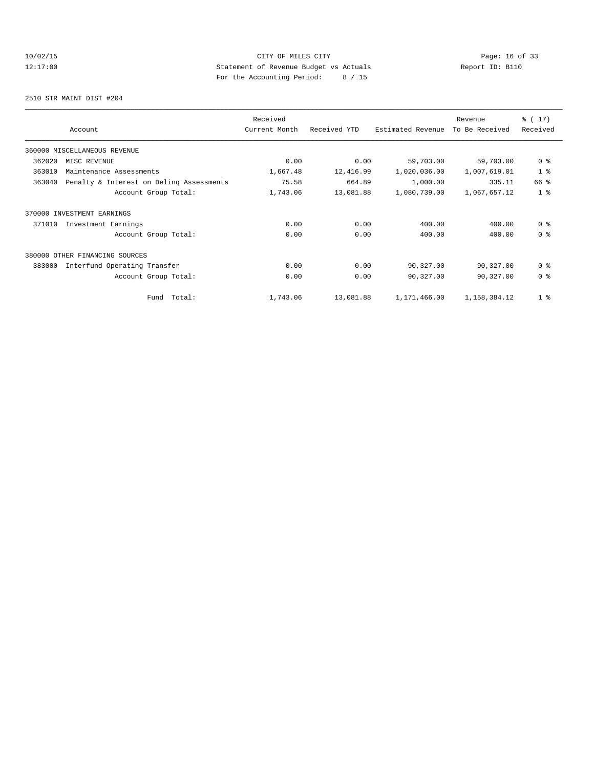# 10/02/15 **Page: 16 of 33** 12:17:00 Statement of Revenue Budget vs Actuals Report ID: B110 For the Accounting Period: 8 / 15

2510 STR MAINT DIST #204

|        |                                          | Received      |              |                   | Revenue        | % (17)         |
|--------|------------------------------------------|---------------|--------------|-------------------|----------------|----------------|
|        | Account                                  | Current Month | Received YTD | Estimated Revenue | To Be Received | Received       |
|        | 360000 MISCELLANEOUS REVENUE             |               |              |                   |                |                |
| 362020 | MISC REVENUE                             | 0.00          | 0.00         | 59,703.00         | 59,703.00      | 0 <sup>8</sup> |
| 363010 | Maintenance Assessments                  | 1,667.48      | 12,416.99    | 1,020,036.00      | 1,007,619.01   | 1 <sup>8</sup> |
| 363040 | Penalty & Interest on Deling Assessments | 75.58         | 664.89       | 1,000.00          | 335.11         | 66 %           |
|        | Account Group Total:                     | 1,743.06      | 13,081.88    | 1,080,739.00      | 1,067,657.12   | 1 <sup>8</sup> |
|        | 370000 INVESTMENT EARNINGS               |               |              |                   |                |                |
| 371010 | Investment Earnings                      | 0.00          | 0.00         | 400.00            | 400.00         | 0 <sup>8</sup> |
|        | Account Group Total:                     | 0.00          | 0.00         | 400.00            | 400.00         | 0 <sup>8</sup> |
|        | 380000 OTHER FINANCING SOURCES           |               |              |                   |                |                |
| 383000 | Interfund Operating Transfer             | 0.00          | 0.00         | 90,327.00         | 90,327.00      | 0 <sup>8</sup> |
|        | Account Group Total:                     | 0.00          | 0.00         | 90,327.00         | 90,327.00      | 0 <sup>8</sup> |
|        | Total:<br>Fund                           | 1,743.06      | 13,081.88    | 1,171,466.00      | 1,158,384.12   | 1 <sub>8</sub> |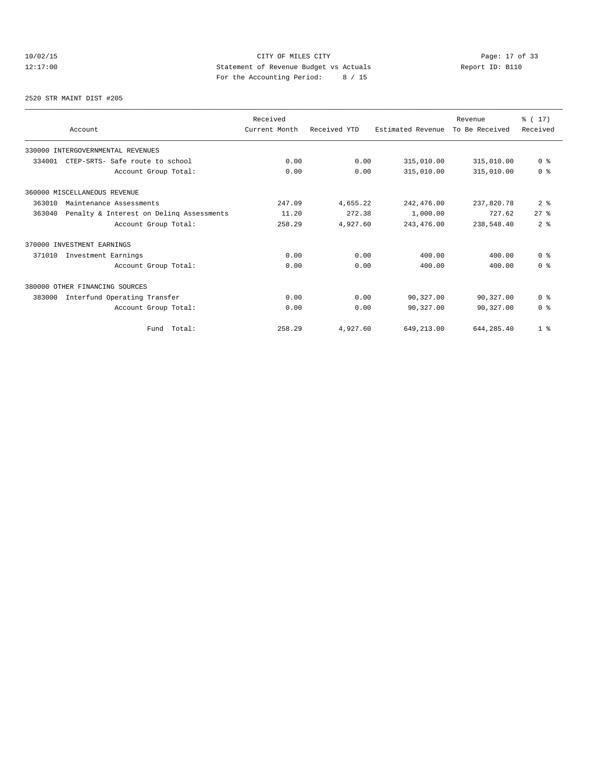# 10/02/15 **Page: 17 of 33** CITY OF MILES CITY **Page: 17 of 33** 12:17:00 Statement of Revenue Budget vs Actuals Report ID: B110<br>Report ID: B110 For the Accounting Period: 8 / 15

2520 STR MAINT DIST #205

|        | Account                                  | Received<br>Current Month | Received YTD | Estimated Revenue | Revenue<br>To Be Received | % (17)<br>Received |
|--------|------------------------------------------|---------------------------|--------------|-------------------|---------------------------|--------------------|
|        | 330000 INTERGOVERNMENTAL REVENUES        |                           |              |                   |                           |                    |
| 334001 | CTEP-SRTS- Safe route to school          | 0.00                      | 0.00         | 315,010.00        | 315,010.00                | 0 <sup>8</sup>     |
|        | Account Group Total:                     | 0.00                      | 0.00         | 315,010.00        | 315,010.00                | 0 <sup>8</sup>     |
|        | 360000 MISCELLANEOUS REVENUE             |                           |              |                   |                           |                    |
| 363010 | Maintenance Assessments                  | 247.09                    | 4,655.22     | 242,476.00        | 237,820.78                | 2 <sup>8</sup>     |
| 363040 | Penalty & Interest on Deling Assessments | 11.20                     | 272.38       | 1,000.00          | 727.62                    | $27$ $%$           |
|        | Account Group Total:                     | 258.29                    | 4,927.60     | 243, 476.00       | 238,548.40                | 2 <sup>8</sup>     |
|        | 370000 INVESTMENT EARNINGS               |                           |              |                   |                           |                    |
| 371010 | Investment Earnings                      | 0.00                      | 0.00         | 400.00            | 400.00                    | 0 <sup>8</sup>     |
|        | Account Group Total:                     | 0.00                      | 0.00         | 400.00            | 400.00                    | 0 <sup>8</sup>     |
|        | 380000 OTHER FINANCING SOURCES           |                           |              |                   |                           |                    |
| 383000 | Interfund Operating Transfer             | 0.00                      | 0.00         | 90,327.00         | 90,327.00                 | 0 <sup>8</sup>     |
|        | Account Group Total:                     | 0.00                      | 0.00         | 90,327.00         | 90,327.00                 | 0 <sup>8</sup>     |
|        | Total:<br>Fund                           | 258.29                    | 4,927.60     | 649,213.00        | 644, 285.40               | 1 <sup>8</sup>     |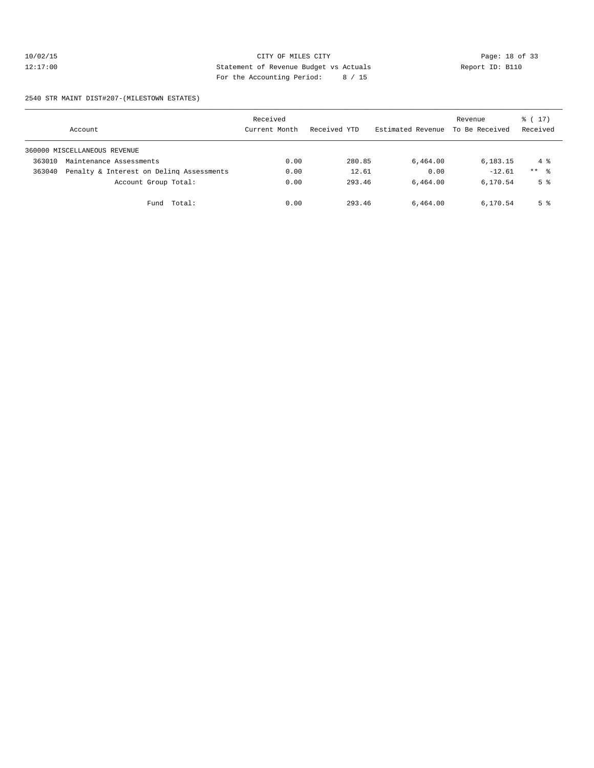# 10/02/15 CITY OF MILES CITY CHE CITY Page: 18 of 33<br>12:17:00 Statement of Revenue Budget vs Actuals Report ID: B110<br>12:17:00 Page: the Magazine Page: the Magazine Page: 18 of 33 12:17:00 Statement of Revenue Budget vs Actuals Report ID: B110 For the Accounting Period: 8 / 15

#### 2540 STR MAINT DIST#207-(MILESTOWN ESTATES)

|        | Account                                  | Received<br>Current Month | Received YTD | Estimated Revenue | Revenue<br>To Be Received | $\frac{1}{6}$ (17)<br>Received |
|--------|------------------------------------------|---------------------------|--------------|-------------------|---------------------------|--------------------------------|
|        | 360000 MISCELLANEOUS REVENUE             |                           |              |                   |                           |                                |
| 363010 | Maintenance Assessments                  | 0.00                      | 280.85       | 6,464.00          | 6,183.15                  | $4\degree$                     |
| 363040 | Penalty & Interest on Deling Assessments | 0.00                      | 12.61        | 0.00              | $-12.61$                  | $***$ $\frac{6}{2}$            |
|        | Account Group Total:                     | 0.00                      | 293.46       | 6,464.00          | 6,170.54                  | 5 <sup>8</sup>                 |
|        | Fund Total:                              | 0.00                      | 293.46       | 6,464.00          | 6,170.54                  | 5 %                            |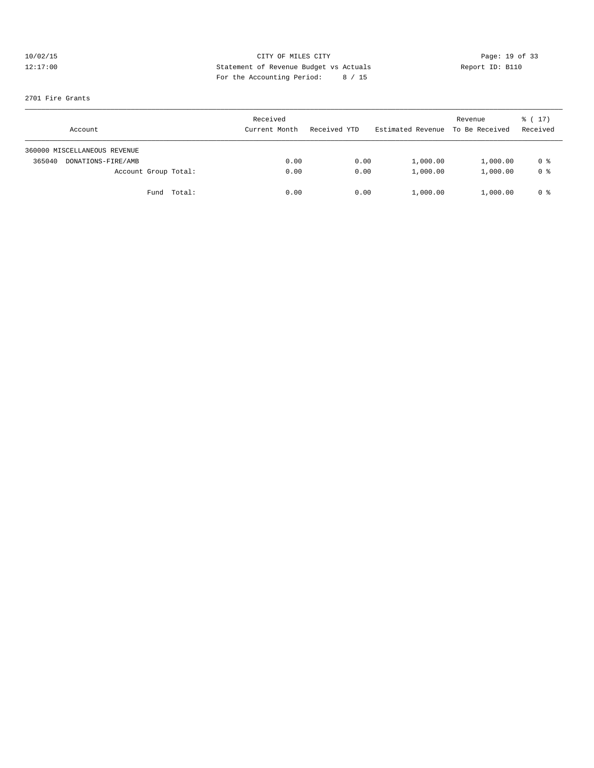# 10/02/15 CITY OF MILES CITY CHE CITY Page: 19 of 33<br>12:17:00 Statement of Revenue Budget vs Actuals Report ID: B110<br>For the Accounting Posite (Aliso and Aliso and Aliso and Aliso and Aliso and Aliso and Aliso and Aliso and 12:17:00 Statement of Revenue Budget vs Actuals Report ID: B110 For the Accounting Period: 8 / 15

#### 2701 Fire Grants

| Account                      | Received<br>Current Month | Received YTD | Estimated Revenue | Revenue<br>To Be Received | $\frac{1}{6}$ ( 17 )<br>Received |
|------------------------------|---------------------------|--------------|-------------------|---------------------------|----------------------------------|
| 360000 MISCELLANEOUS REVENUE |                           |              |                   |                           |                                  |
| DONATIONS-FIRE/AMB<br>365040 | 0.00                      | 0.00         | 1,000.00          | 1,000.00                  | 0 %                              |
| Account Group Total:         | 0.00                      | 0.00         | 1,000.00          | 1,000.00                  | 0 <sup>8</sup>                   |
| Fund Total:                  | 0.00                      | 0.00         | 1,000.00          | 1,000.00                  | 0 %                              |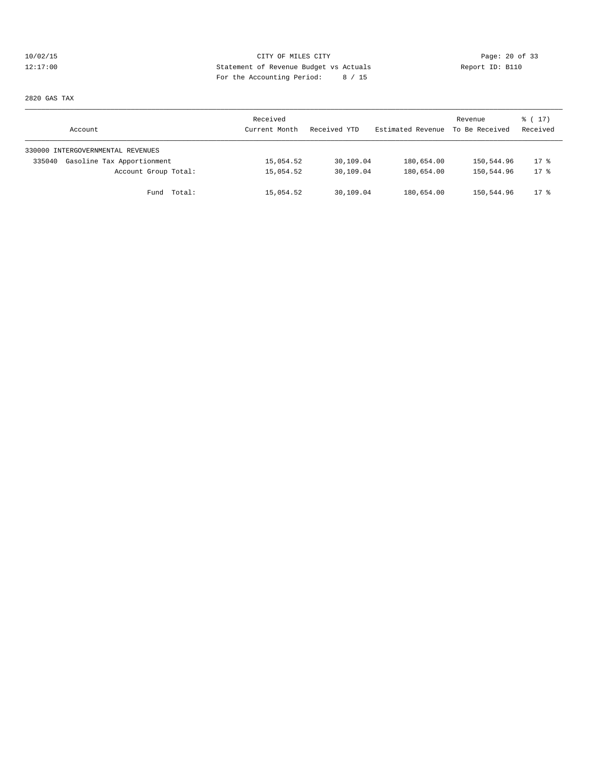# 10/02/15 **Page: 20 of 33** 12:17:00 Statement of Revenue Budget vs Actuals Report ID: B110 For the Accounting Period: 8 / 15

2820 GAS TAX

| Account                              | Received<br>Current Month | Received YTD | Estimated Revenue | Revenue<br>To Be Received | $\frac{1}{6}$ (17)<br>Received |
|--------------------------------------|---------------------------|--------------|-------------------|---------------------------|--------------------------------|
| 330000 INTERGOVERNMENTAL REVENUES    |                           |              |                   |                           |                                |
| Gasoline Tax Apportionment<br>335040 | 15,054.52                 | 30,109.04    | 180,654.00        | 150,544.96                | $17*$                          |
| Account Group Total:                 | 15,054.52                 | 30,109.04    | 180,654.00        | 150,544.96                | $17*$                          |
| Fund Total:                          | 15,054.52                 | 30,109.04    | 180,654.00        | 150,544.96                | $17*$                          |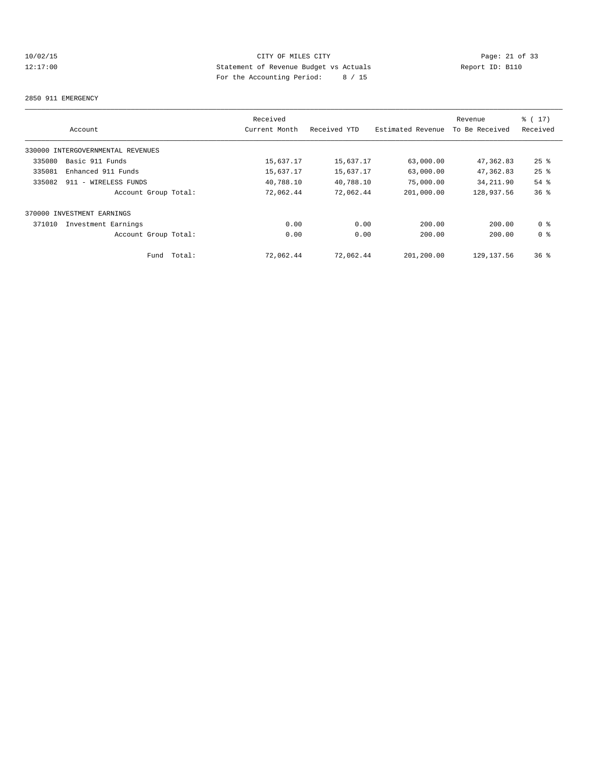# 10/02/15 CITY OF MILES CITY CHE CITY Page: 21 of 33<br>12:17:00 Statement of Revenue Budget vs Actuals Report ID: B110<br>For the Accounting Posite (1966) Computer (1966) Report ID: B110 12:17:00 Statement of Revenue Budget vs Actuals Report ID: B110 For the Accounting Period: 8 / 15

#### 2850 911 EMERGENCY

|        |                                   |        | Received      |              |                   | Revenue        | ៖ ( 17)            |
|--------|-----------------------------------|--------|---------------|--------------|-------------------|----------------|--------------------|
|        | Account                           |        | Current Month | Received YTD | Estimated Revenue | To Be Received | Received           |
|        | 330000 INTERGOVERNMENTAL REVENUES |        |               |              |                   |                |                    |
| 335080 | Basic 911 Funds                   |        | 15,637.17     | 15,637.17    | 63,000.00         | 47,362.83      | $25$ $\frac{6}{5}$ |
| 335081 | Enhanced 911 Funds                |        | 15,637.17     | 15,637.17    | 63,000.00         | 47,362.83      | $25$ %             |
| 335082 | 911 - WIRELESS FUNDS              |        | 40,788.10     | 40,788.10    | 75,000.00         | 34, 211.90     | $54$ %             |
|        | Account Group Total:              |        | 72,062.44     | 72,062.44    | 201,000.00        | 128,937.56     | 36 <sup>8</sup>    |
|        | 370000 INVESTMENT EARNINGS        |        |               |              |                   |                |                    |
| 371010 | Investment Earnings               |        | 0.00          | 0.00         | 200.00            | 200.00         | 0 <sup>8</sup>     |
|        | Account Group Total:              |        | 0.00          | 0.00         | 200.00            | 200.00         | 0 <sup>8</sup>     |
|        | Fund                              | Total: | 72,062.44     | 72,062.44    | 201,200.00        | 129, 137.56    | 36 <sup>8</sup>    |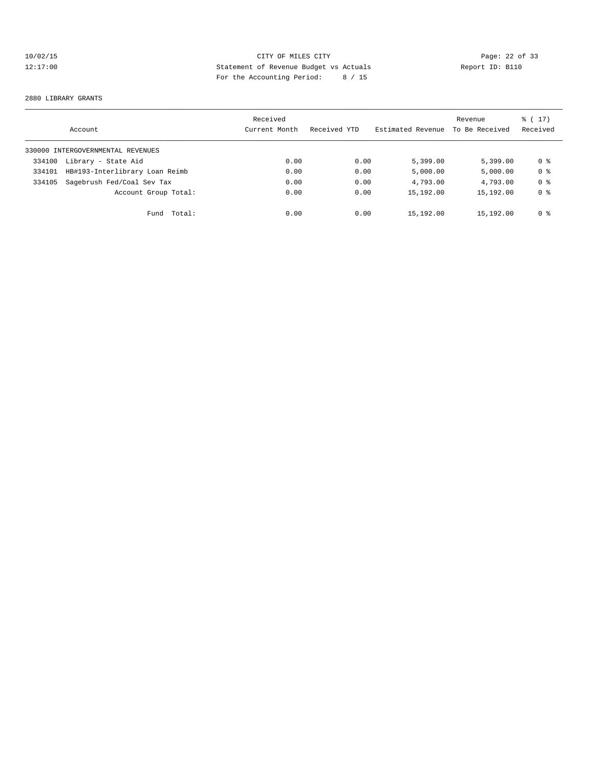# 10/02/15 CITY OF MILES CITY CHE CITY Page: 22 of 33<br>12:17:00 21 Statement of Revenue Budget vs Actuals Report ID: B110<br>12:17:00 21 Pay the Accounting Pavied: 2006, 15 12:17:00 Statement of Revenue Budget vs Actuals Report ID: B110 For the Accounting Period: 8 / 15

#### 2880 LIBRARY GRANTS

|        | Account                           | Received<br>Current Month | Received YTD | Estimated Revenue | Revenue<br>To Be Received | $\frac{1}{6}$ ( 17 )<br>Received |
|--------|-----------------------------------|---------------------------|--------------|-------------------|---------------------------|----------------------------------|
|        | 330000 INTERGOVERNMENTAL REVENUES |                           |              |                   |                           |                                  |
| 334100 | Library - State Aid               | 0.00                      | 0.00         | 5,399.00          | 5.399.00                  | 0 %                              |
| 334101 | HB#193-Interlibrary Loan Reimb    | 0.00                      | 0.00         | 5,000.00          | 5.000.00                  | 0 <sup>8</sup>                   |
| 334105 | Sagebrush Fed/Coal Sev Tax        | 0.00                      | 0.00         | 4,793.00          | 4,793.00                  | 0 <sup>8</sup>                   |
|        | Account Group Total:              | 0.00                      | 0.00         | 15,192.00         | 15,192.00                 | 0 <sup>8</sup>                   |
|        | Total:<br>Fund                    | 0.00                      | 0.00         | 15,192.00         | 15,192.00                 | 0 <sup>8</sup>                   |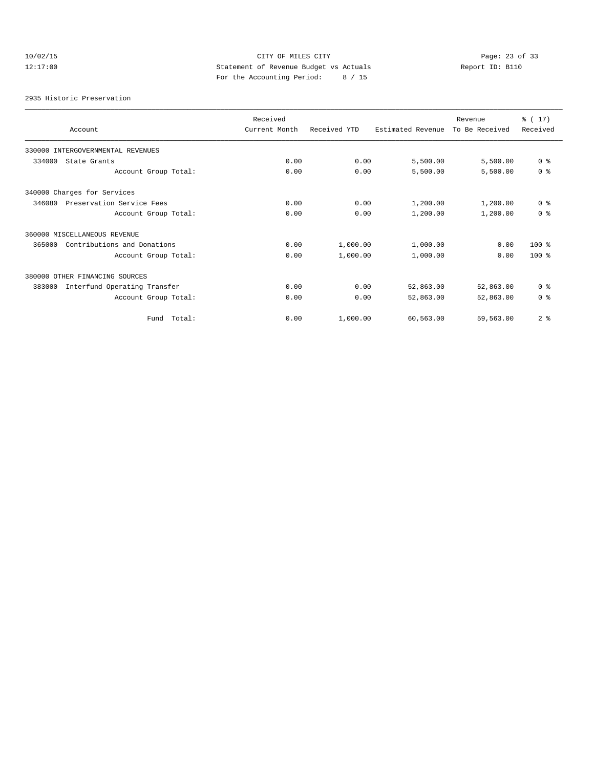# 10/02/15 **Page: 23 of 33** 12:17:00 Statement of Revenue Budget vs Actuals Report ID: B110 For the Accounting Period: 8 / 15

2935 Historic Preservation

| Account                                | Received<br>Current Month | Received YTD | Estimated Revenue | Revenue<br>To Be Received | % (17)<br>Received |
|----------------------------------------|---------------------------|--------------|-------------------|---------------------------|--------------------|
| 330000 INTERGOVERNMENTAL REVENUES      |                           |              |                   |                           |                    |
| 334000<br>State Grants                 | 0.00                      | 0.00         | 5,500.00          | 5,500.00                  | 0 <sup>8</sup>     |
| Account Group Total:                   | 0.00                      | 0.00         | 5,500.00          | 5,500.00                  | 0 <sup>8</sup>     |
| 340000 Charges for Services            |                           |              |                   |                           |                    |
| Preservation Service Fees<br>346080    | 0.00                      | 0.00         | 1,200.00          | 1,200.00                  | 0 <sup>8</sup>     |
| Account Group Total:                   | 0.00                      | 0.00         | 1,200.00          | 1,200.00                  | 0 <sup>8</sup>     |
| 360000 MISCELLANEOUS REVENUE           |                           |              |                   |                           |                    |
| Contributions and Donations<br>365000  | 0.00                      | 1,000.00     | 1,000.00          | 0.00                      | $100*$             |
| Account Group Total:                   | 0.00                      | 1,000.00     | 1,000.00          | 0.00                      | $100*$             |
| 380000 OTHER FINANCING SOURCES         |                           |              |                   |                           |                    |
| 383000<br>Interfund Operating Transfer | 0.00                      | 0.00         | 52,863.00         | 52,863.00                 | 0 <sup>8</sup>     |
| Account Group Total:                   | 0.00                      | 0.00         | 52,863.00         | 52,863.00                 | 0 <sup>8</sup>     |
| Total:<br>Fund                         | 0.00                      | 1,000.00     | 60,563.00         | 59,563.00                 | 2 <sup>°</sup>     |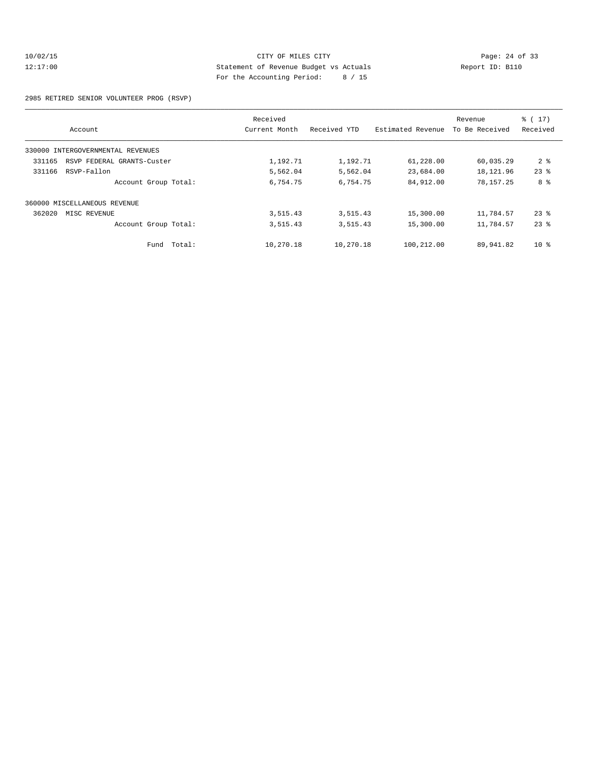#### 10/02/15 CITY OF MILES CITY CHE CITY Page: 24 of 33<br>12:17:00 Statement of Revenue Budget vs Actuals Report ID: B110<br>For the Accounting Posite (1966) Computer (1966) Report ID: B110 12:17:00 Statement of Revenue Budget vs Actuals Report ID: B110 For the Accounting Period: 8 / 15

2985 RETIRED SENIOR VOLUNTEER PROG (RSVP)

|                                      | Received      |              |                   | Revenue        | $\frac{1}{6}$ ( 17 ) |
|--------------------------------------|---------------|--------------|-------------------|----------------|----------------------|
| Account                              | Current Month | Received YTD | Estimated Revenue | To Be Received | Received             |
| 330000 INTERGOVERNMENTAL REVENUES    |               |              |                   |                |                      |
| 331165<br>RSVP FEDERAL GRANTS-Custer | 1,192.71      | 1,192.71     | 61,228.00         | 60,035.29      | 2 <sup>°</sup>       |
| 331166<br>RSVP-Fallon                | 5,562.04      | 5,562.04     | 23,684.00         | 18,121.96      | $23$ $%$             |
| Account Group Total:                 | 6,754.75      | 6,754.75     | 84,912.00         | 78,157.25      | 8 %                  |
| 360000 MISCELLANEOUS REVENUE         |               |              |                   |                |                      |
| 362020<br>MISC REVENUE               | 3,515.43      | 3,515.43     | 15,300.00         | 11,784.57      | $23$ $%$             |
| Account Group Total:                 | 3,515.43      | 3,515.43     | 15,300.00         | 11,784.57      | $23$ $%$             |
| Total:<br>Fund                       | 10,270.18     | 10,270.18    | 100,212.00        | 89,941.82      | 10 <sup>8</sup>      |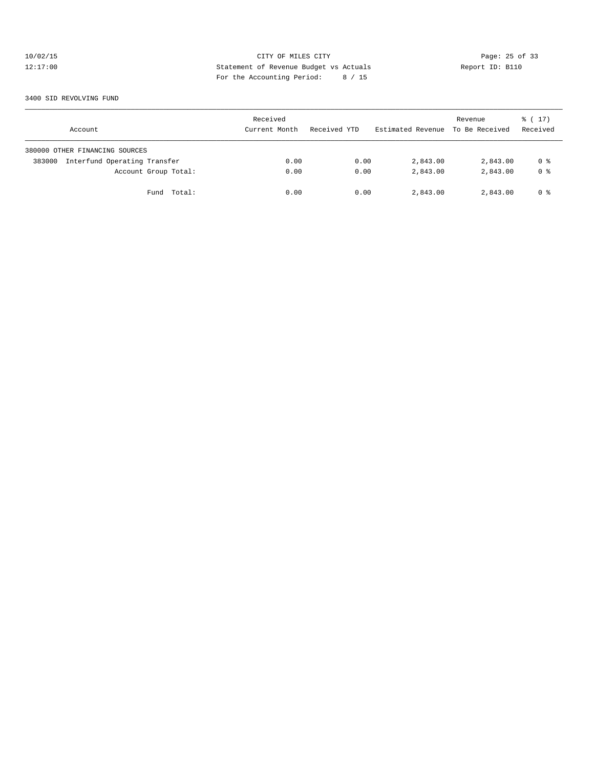# 10/02/15 CITY OF MILES CITY CHE CITY Page: 25 of 33<br>12:17:00 21 Statement of Revenue Budget vs Actuals Report ID: B110<br>12:17:00 21 Pay the Actual Papied: 0.415 12:17:00 Statement of Revenue Budget vs Actuals Report ID: B110 For the Accounting Period: 8 / 15

3400 SID REVOLVING FUND

| Account                                | Received<br>Current Month | Received YTD | Estimated Revenue To Be Received | Revenue  | $\frac{1}{6}$ (17)<br>Received |
|----------------------------------------|---------------------------|--------------|----------------------------------|----------|--------------------------------|
| 380000 OTHER FINANCING SOURCES         |                           |              |                                  |          |                                |
| Interfund Operating Transfer<br>383000 | 0.00                      | 0.00         | 2,843.00                         | 2,843.00 | 0 %                            |
| Account Group Total:                   | 0.00                      | 0.00         | 2,843.00                         | 2,843.00 | 0 <sup>8</sup>                 |
| Fund Total:                            | 0.00                      | 0.00         | 2,843.00                         | 2,843.00 | 0 %                            |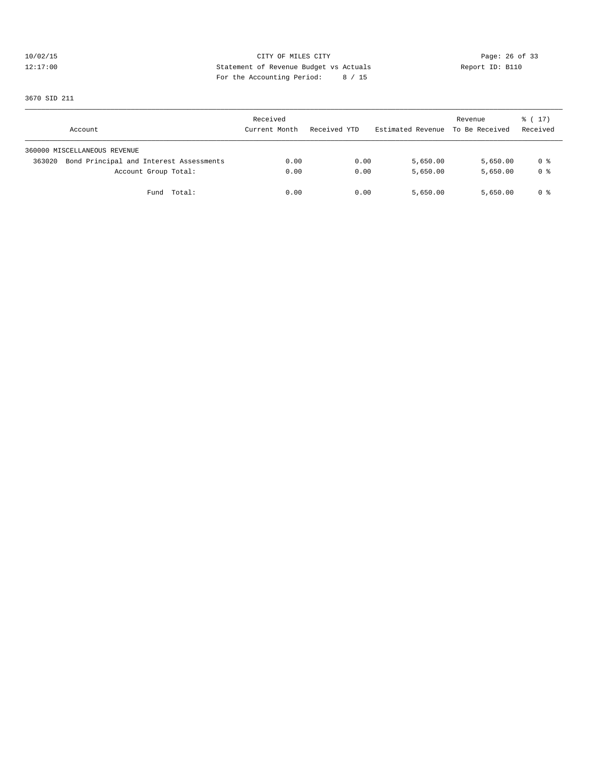# 10/02/15 CITY OF MILES CITY CHE CITY Page: 26 of 33<br>12:17:00 Statement of Revenue Budget vs Actuals Report ID: B110<br>For the Accounting Posite (Aliso and Aliso and Aliso and Aliso and Aliso and Aliso and Aliso and Aliso and 12:17:00 Statement of Revenue Budget vs Actuals Report ID: B110 For the Accounting Period: 8 / 15

3670 SID 211

| Account                                           | Received<br>Current Month | Received YTD | Estimated Revenue | Revenue<br>To Be Received | $\frac{1}{6}$ ( 17 )<br>Received |
|---------------------------------------------------|---------------------------|--------------|-------------------|---------------------------|----------------------------------|
| 360000 MISCELLANEOUS REVENUE                      |                           |              |                   |                           |                                  |
| Bond Principal and Interest Assessments<br>363020 | 0.00                      | 0.00         | 5,650.00          | 5,650.00                  | 0 %                              |
| Account Group Total:                              | 0.00                      | 0.00         | 5,650.00          | 5,650.00                  | 0 <sup>8</sup>                   |
| Fund Total:                                       | 0.00                      | 0.00         | 5,650.00          | 5,650.00                  | 0 %                              |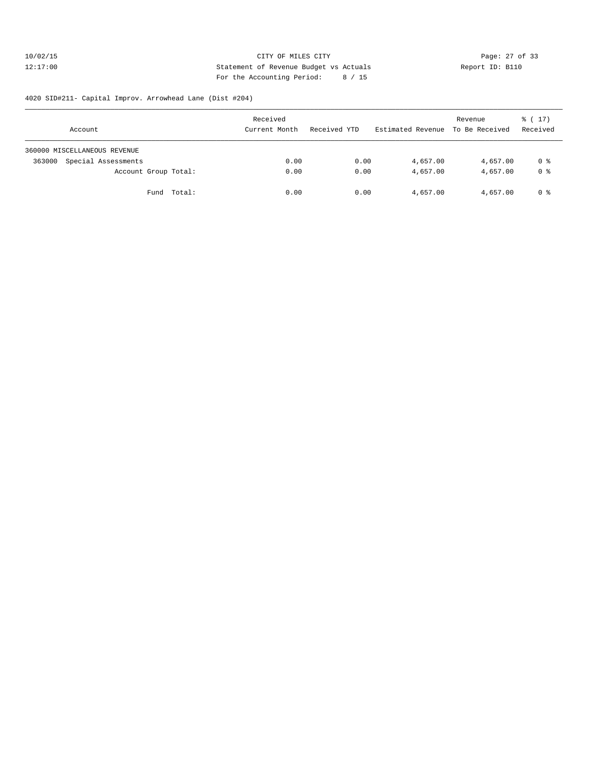#### 10/02/15 **Page: 27 of 33** CITY OF MILES CITY **Page: 27 of 33** 12:17:00 Statement of Revenue Budget vs Actuals Report ID: B110 For the Accounting Period: 8 / 15

#### 4020 SID#211- Capital Improv. Arrowhead Lane (Dist #204)

| Account                       | Received<br>Current Month | Received YTD | Estimated Revenue To Be Received | Revenue  | $\frac{1}{6}$ (17)<br>Received |
|-------------------------------|---------------------------|--------------|----------------------------------|----------|--------------------------------|
| 360000 MISCELLANEOUS REVENUE  |                           |              |                                  |          |                                |
| Special Assessments<br>363000 | 0.00                      | 0.00         | 4,657.00                         | 4,657.00 | 0 %                            |
| Account Group Total:          | 0.00                      | 0.00         | 4,657.00                         | 4,657.00 | 0 <sup>8</sup>                 |
| Fund Total:                   | 0.00                      | 0.00         | 4,657.00                         | 4,657.00 | 0 %                            |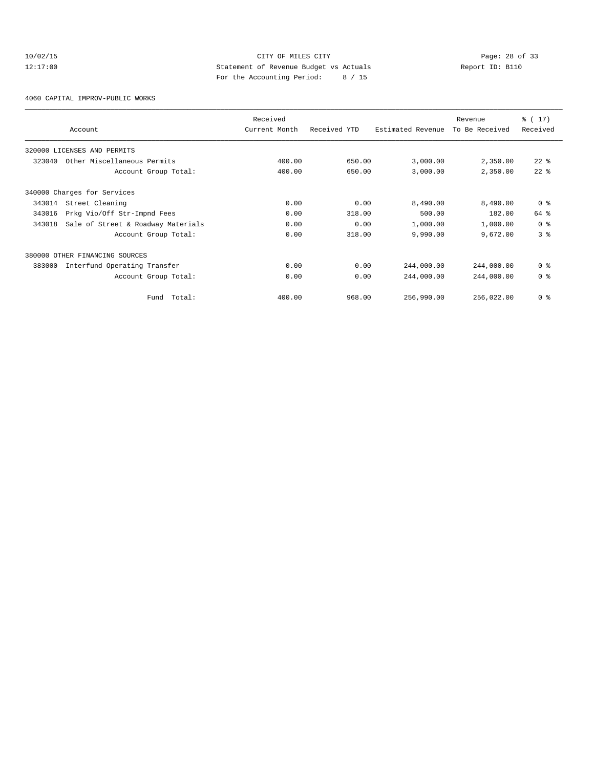# 10/02/15 Page: 28 of 33 12:17:00 Statement of Revenue Budget vs Actuals Report ID: B110 For the Accounting Period: 8 / 15

4060 CAPITAL IMPROV-PUBLIC WORKS

|        | Account                            | Received<br>Current Month | Received YTD | Estimated Revenue | Revenue<br>To Be Received | % (17)<br>Received |
|--------|------------------------------------|---------------------------|--------------|-------------------|---------------------------|--------------------|
|        | 320000 LICENSES AND PERMITS        |                           |              |                   |                           |                    |
| 323040 | Other Miscellaneous Permits        | 400.00                    | 650.00       | 3,000.00          | 2,350.00                  | $22$ %             |
|        | Account Group Total:               | 400.00                    | 650.00       | 3,000.00          | 2,350.00                  | $22$ $%$           |
|        | 340000 Charges for Services        |                           |              |                   |                           |                    |
| 343014 | Street Cleaning                    | 0.00                      | 0.00         | 8,490.00          | 8,490.00                  | 0 <sup>8</sup>     |
| 343016 | Prkg Vio/Off Str-Impnd Fees        | 0.00                      | 318.00       | 500.00            | 182.00                    | 64 %               |
| 343018 | Sale of Street & Roadway Materials | 0.00                      | 0.00         | 1,000.00          | 1,000.00                  | 0 <sup>8</sup>     |
|        | Account Group Total:               | 0.00                      | 318.00       | 9,990.00          | 9,672.00                  | 3 <sup>8</sup>     |
|        | 380000 OTHER FINANCING SOURCES     |                           |              |                   |                           |                    |
| 383000 | Interfund Operating Transfer       | 0.00                      | 0.00         | 244,000.00        | 244,000.00                | 0 <sup>8</sup>     |
|        | Account Group Total:               | 0.00                      | 0.00         | 244,000.00        | 244,000.00                | 0 <sup>8</sup>     |
|        | Total:<br>Fund                     | 400.00                    | 968.00       | 256,990.00        | 256,022.00                | 0 <sup>8</sup>     |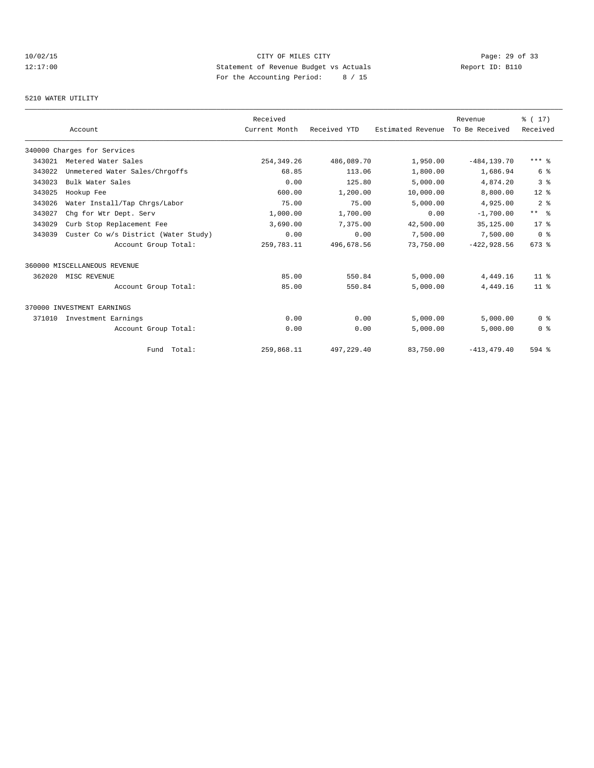# 10/02/15 **Page: 29 of 33** 12:17:00 Statement of Revenue Budget vs Actuals Report ID: B110 For the Accounting Period: 8 / 15

#### 5210 WATER UTILITY

|        |                                      | Received      |              |                   | Revenue        | % (17)          |
|--------|--------------------------------------|---------------|--------------|-------------------|----------------|-----------------|
|        | Account                              | Current Month | Received YTD | Estimated Revenue | To Be Received | Received        |
|        | 340000 Charges for Services          |               |              |                   |                |                 |
| 343021 | Metered Water Sales                  | 254, 349. 26  | 486,089.70   | 1,950.00          | $-484, 139.70$ | $***$ %         |
| 343022 | Unmetered Water Sales/Chrgoffs       | 68.85         | 113.06       | 1,800.00          | 1,686.94       | 6 %             |
| 343023 | Bulk Water Sales                     | 0.00          | 125.80       | 5,000.00          | 4,874.20       | 3 <sup>8</sup>  |
| 343025 | Hookup Fee                           | 600.00        | 1,200.00     | 10,000.00         | 8,800.00       | $12*$           |
| 343026 | Water Install/Tap Chrgs/Labor        | 75.00         | 75.00        | 5,000.00          | 4,925.00       | 2 <sup>°</sup>  |
| 343027 | Chq for Wtr Dept. Serv               | 1,000.00      | 1,700.00     | 0.00              | $-1,700.00$    | $***$ $ -$      |
| 343029 | Curb Stop Replacement Fee            | 3,690.00      | 7,375.00     | 42,500.00         | 35,125.00      | $17*$           |
| 343039 | Custer Co w/s District (Water Study) | 0.00          | 0.00         | 7,500.00          | 7,500.00       | 0 <sup>8</sup>  |
|        | Account Group Total:                 | 259, 783. 11  | 496.678.56   | 73,750.00         | $-422.928.56$  | $673$ $%$       |
|        | 360000 MISCELLANEOUS REVENUE         |               |              |                   |                |                 |
| 362020 | MISC REVENUE                         | 85.00         | 550.84       | 5,000.00          | 4,449.16       | 11 <sup>8</sup> |
|        | Account Group Total:                 | 85.00         | 550.84       | 5,000.00          | 4,449.16       | 11 <sup>8</sup> |
|        | 370000 INVESTMENT EARNINGS           |               |              |                   |                |                 |
| 371010 | Investment Earnings                  | 0.00          | 0.00         | 5.000.00          | 5.000.00       | 0 <sup>8</sup>  |
|        | Account Group Total:                 | 0.00          | 0.00         | 5,000.00          | 5,000.00       | 0 <sup>8</sup>  |
|        | Fund Total:                          | 259,868.11    | 497,229.40   | 83,750.00         | $-413, 479.40$ | 594 %           |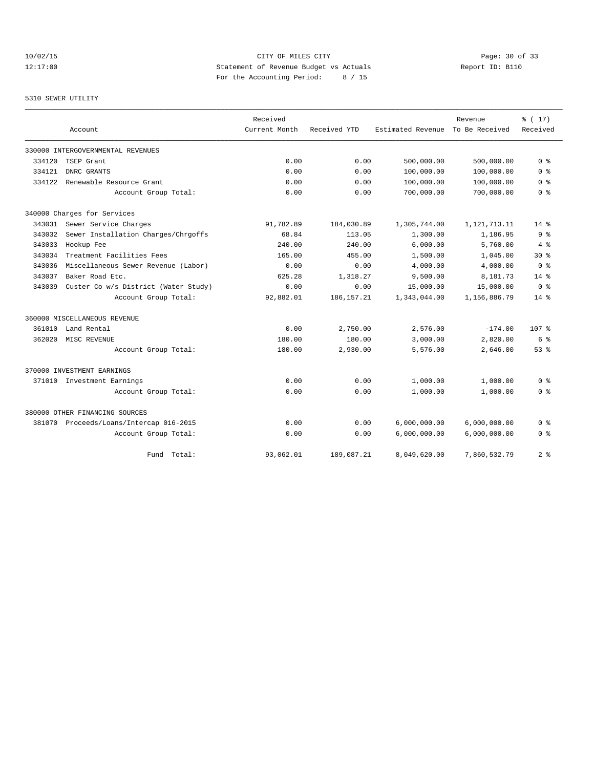# 10/02/15 Page: 30 of 33 12:17:00 Statement of Revenue Budget vs Actuals Report ID: B110 For the Accounting Period: 8 / 15

#### 5310 SEWER UTILITY

|        |                                         | Received      |              |                   | Revenue         | % (17)           |
|--------|-----------------------------------------|---------------|--------------|-------------------|-----------------|------------------|
|        | Account                                 | Current Month | Received YTD | Estimated Revenue | To Be Received  | Received         |
|        | 330000 INTERGOVERNMENTAL REVENUES       |               |              |                   |                 |                  |
| 334120 | TSEP Grant                              | 0.00          | 0.00         | 500,000.00        | 500,000.00      | 0 <sup>8</sup>   |
| 334121 | DNRC GRANTS                             | 0.00          | 0.00         | 100,000.00        | 100,000.00      | 0 <sub>8</sub>   |
| 334122 | Renewable Resource Grant                | 0.00          | 0.00         | 100,000.00        | 100,000.00      | 0 <sup>8</sup>   |
|        | Account Group Total:                    | 0.00          | 0.00         | 700,000.00        | 700,000.00      | 0 <sup>8</sup>   |
|        | 340000 Charges for Services             |               |              |                   |                 |                  |
| 343031 | Sewer Service Charges                   | 91,782.89     | 184,030.89   | 1,305,744.00      | 1, 121, 713. 11 | $14*$            |
| 343032 | Sewer Installation Charges/Chrgoffs     | 68.84         | 113.05       | 1,300.00          | 1,186.95        | 9 <sup>8</sup>   |
| 343033 | Hookup Fee                              | 240.00        | 240.00       | 6,000.00          | 5,760.00        | 4%               |
| 343034 | Treatment Facilities Fees               | 165.00        | 455.00       | 1,500.00          | 1,045.00        | $30*$            |
| 343036 | Miscellaneous Sewer Revenue (Labor)     | 0.00          | 0.00         | 4,000.00          | 4,000.00        | 0 <sup>8</sup>   |
| 343037 | Baker Road Etc.                         | 625.28        | 1,318.27     | 9,500.00          | 8,181.73        | $14*$            |
| 343039 | Custer Co w/s District (Water Study)    | 0.00          | 0.00         | 15,000.00         | 15,000.00       | 0 <sup>8</sup>   |
|        | Account Group Total:                    | 92,882.01     | 186, 157. 21 | 1,343,044.00      | 1,156,886.79    | $14*$            |
|        | 360000 MISCELLANEOUS REVENUE            |               |              |                   |                 |                  |
| 361010 | Land Rental                             | 0.00          | 2,750.00     | 2,576.00          | $-174.00$       | 107 <sub>8</sub> |
| 362020 | MISC REVENUE                            | 180.00        | 180.00       | 3,000.00          | 2,820.00        | 6 %              |
|        | Account Group Total:                    | 180.00        | 2,930.00     | 5,576.00          | 2,646.00        | 53%              |
|        | 370000 INVESTMENT EARNINGS              |               |              |                   |                 |                  |
|        | 371010 Investment Earnings              | 0.00          | 0.00         | 1,000.00          | 1,000.00        | 0 <sup>8</sup>   |
|        | Account Group Total:                    | 0.00          | 0.00         | 1,000.00          | 1,000.00        | 0 %              |
|        | 380000 OTHER FINANCING SOURCES          |               |              |                   |                 |                  |
|        | 381070 Proceeds/Loans/Intercap 016-2015 | 0.00          | 0.00         | 6,000,000.00      | 6,000,000.00    | 0 %              |
|        | Account Group Total:                    | 0.00          | 0.00         | 6,000,000.00      | 6,000,000.00    | 0 <sup>8</sup>   |
|        | Total:<br>Fund                          | 93,062.01     | 189,087.21   | 8,049,620.00      | 7,860,532.79    | 28               |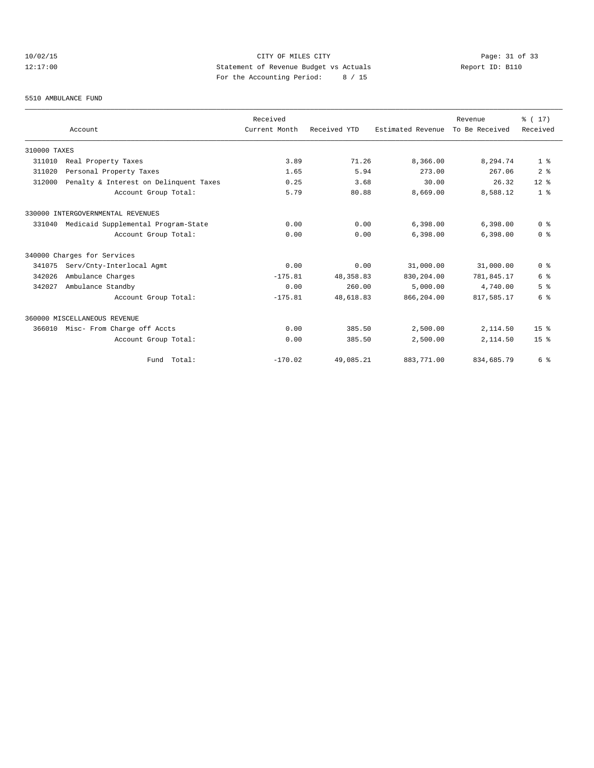# 10/02/15 CITY OF MILES CITY CHE CITY Page: 31 of 33<br>12:17:00 Statement of Revenue Budget vs Actuals Report ID: B110<br>For the Accounting Posite (1966) Computer (1966) Report ID: B110 12:17:00 Statement of Revenue Budget vs Actuals Report ID: B110 For the Accounting Period: 8 / 15

#### 5510 AMBULANCE FUND

|              |                                        | Received      |              |                   | Revenue        | % (17)          |
|--------------|----------------------------------------|---------------|--------------|-------------------|----------------|-----------------|
|              | Account                                | Current Month | Received YTD | Estimated Revenue | To Be Received | Received        |
| 310000 TAXES |                                        |               |              |                   |                |                 |
| 311010       | Real Property Taxes                    | 3.89          | 71.26        | 8,366.00          | 8,294.74       | 1 <sup>8</sup>  |
| 311020       | Personal Property Taxes                | 1.65          | 5.94         | 273.00            | 267.06         | 2 <sup>°</sup>  |
| 312000       | Penalty & Interest on Delinquent Taxes | 0.25          | 3.68         | 30.00             | 26.32          | $12*$           |
|              | Account Group Total:                   | 5.79          | 80.88        | 8,669.00          | 8,588.12       | 1 <sup>8</sup>  |
|              | 330000 INTERGOVERNMENTAL REVENUES      |               |              |                   |                |                 |
| 331040       | Medicaid Supplemental Program-State    | 0.00          | 0.00         | 6,398.00          | 6,398.00       | 0 <sup>8</sup>  |
|              | Account Group Total:                   | 0.00          | 0.00         | 6,398.00          | 6,398.00       | 0 <sup>8</sup>  |
|              | 340000 Charges for Services            |               |              |                   |                |                 |
| 341075       | Serv/Cnty-Interlocal Agmt              | 0.00          | 0.00         | 31,000.00         | 31,000.00      | 0 <sup>8</sup>  |
| 342026       | Ambulance Charges                      | $-175.81$     | 48, 358.83   | 830,204.00        | 781,845.17     | 6 %             |
| 342027       | Ambulance Standby                      | 0.00          | 260.00       | 5.000.00          | 4,740.00       | 5 <sup>8</sup>  |
|              | Account Group Total:                   | $-175.81$     | 48,618.83    | 866,204.00        | 817,585.17     | 6 %             |
|              | 360000 MISCELLANEOUS REVENUE           |               |              |                   |                |                 |
| 366010       | Misc- From Charge off Accts            | 0.00          | 385.50       | 2,500.00          | 2,114.50       | 15 <sup>°</sup> |
|              | Account Group Total:                   | 0.00          | 385.50       | 2,500.00          | 2,114.50       | 15 <sup>8</sup> |
|              | Fund Total:                            | $-170.02$     | 49,085.21    | 883,771.00        | 834,685.79     | 6 %             |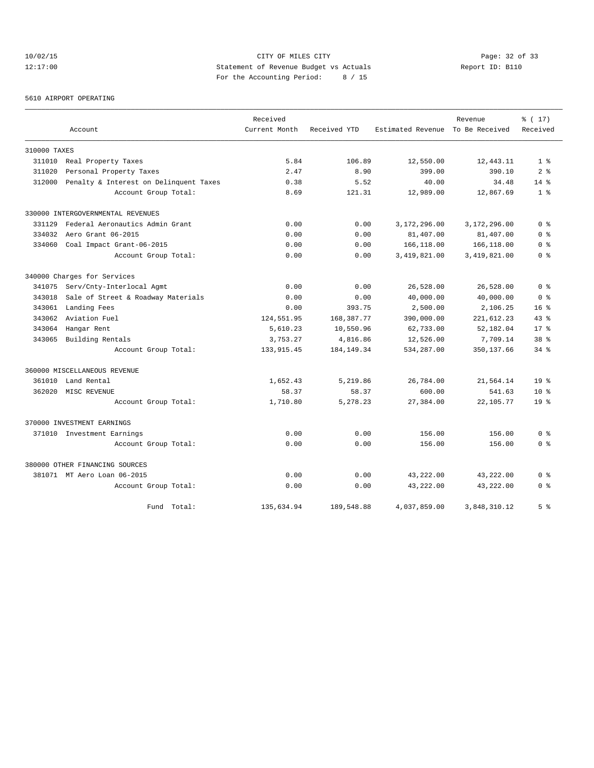# 10/02/15 Page: 32 of 33 12:17:00 Statement of Revenue Budget vs Actuals Report ID: B110 For the Accounting Period: 8 / 15

5610 AIRPORT OPERATING

|              |                                        | Received      |              |                                  | Revenue      | % (17)          |
|--------------|----------------------------------------|---------------|--------------|----------------------------------|--------------|-----------------|
|              | Account                                | Current Month | Received YTD | Estimated Revenue To Be Received |              | Received        |
| 310000 TAXES |                                        |               |              |                                  |              |                 |
| 311010       | Real Property Taxes                    | 5.84          | 106.89       | 12,550.00                        | 12,443.11    | 1 <sup>8</sup>  |
| 311020       | Personal Property Taxes                | 2.47          | 8.90         | 399.00                           | 390.10       | 2 <sup>8</sup>  |
| 312000       | Penalty & Interest on Delinquent Taxes | 0.38          | 5.52         | 40.00                            | 34.48        | $14*$           |
|              | Account Group Total:                   | 8.69          | 121.31       | 12,989.00                        | 12,867.69    | 1 <sub>8</sub>  |
|              | 330000 INTERGOVERNMENTAL REVENUES      |               |              |                                  |              |                 |
| 331129       | Federal Aeronautics Admin Grant        | 0.00          | 0.00         | 3,172,296.00                     | 3,172,296.00 | 0 <sup>8</sup>  |
| 334032       | Aero Grant 06-2015                     | 0.00          | 0.00         | 81,407.00                        | 81,407.00    | 0 <sup>8</sup>  |
| 334060       | Coal Impact Grant-06-2015              | 0.00          | 0.00         | 166,118.00                       | 166,118.00   | 0 %             |
|              | Account Group Total:                   | 0.00          | 0.00         | 3,419,821.00                     | 3,419,821.00 | 0 %             |
|              | 340000 Charges for Services            |               |              |                                  |              |                 |
| 341075       | Serv/Cnty-Interlocal Agmt              | 0.00          | 0.00         | 26,528.00                        | 26,528.00    | 0 <sup>8</sup>  |
| 343018       | Sale of Street & Roadway Materials     | 0.00          | 0.00         | 40,000.00                        | 40,000.00    | 0 <sup>8</sup>  |
| 343061       | Landing Fees                           | 0.00          | 393.75       | 2,500.00                         | 2,106.25     | 16 <sup>8</sup> |
| 343062       | Aviation Fuel                          | 124,551.95    | 168, 387. 77 | 390,000.00                       | 221,612.23   | 43.8            |
| 343064       | Hangar Rent                            | 5,610.23      | 10,550.96    | 62,733.00                        | 52,182.04    | 17.8            |
| 343065       | Building Rentals                       | 3,753.27      | 4,816.86     | 12,526.00                        | 7,709.14     | 38 <sup>8</sup> |
|              | Account Group Total:                   | 133, 915.45   | 184, 149. 34 | 534,287.00                       | 350, 137.66  | $34$ $%$        |
|              | 360000 MISCELLANEOUS REVENUE           |               |              |                                  |              |                 |
| 361010       | Land Rental                            | 1,652.43      | 5,219.86     | 26,784.00                        | 21,564.14    | 19 <sup>°</sup> |
| 362020       | MISC REVENUE                           | 58.37         | 58.37        | 600.00                           | 541.63       | $10*$           |
|              | Account Group Total:                   | 1,710.80      | 5,278.23     | 27,384.00                        | 22,105.77    | 19 <sup>8</sup> |
|              | 370000 INVESTMENT EARNINGS             |               |              |                                  |              |                 |
|              | 371010 Investment Earnings             | 0.00          | 0.00         | 156.00                           | 156.00       | 0 <sup>8</sup>  |
|              | Account Group Total:                   | 0.00          | 0.00         | 156.00                           | 156.00       | 0 <sup>8</sup>  |
|              | 380000 OTHER FINANCING SOURCES         |               |              |                                  |              |                 |
|              | 381071 MT Aero Loan 06-2015            | 0.00          | 0.00         | 43,222.00                        | 43,222.00    | 0 <sup>8</sup>  |
|              | Account Group Total:                   | 0.00          | 0.00         | 43,222.00                        | 43,222.00    | 0 <sup>8</sup>  |
|              | Fund Total:                            | 135,634.94    | 189,548.88   | 4,037,859.00                     | 3,848,310.12 | 5 <sup>8</sup>  |